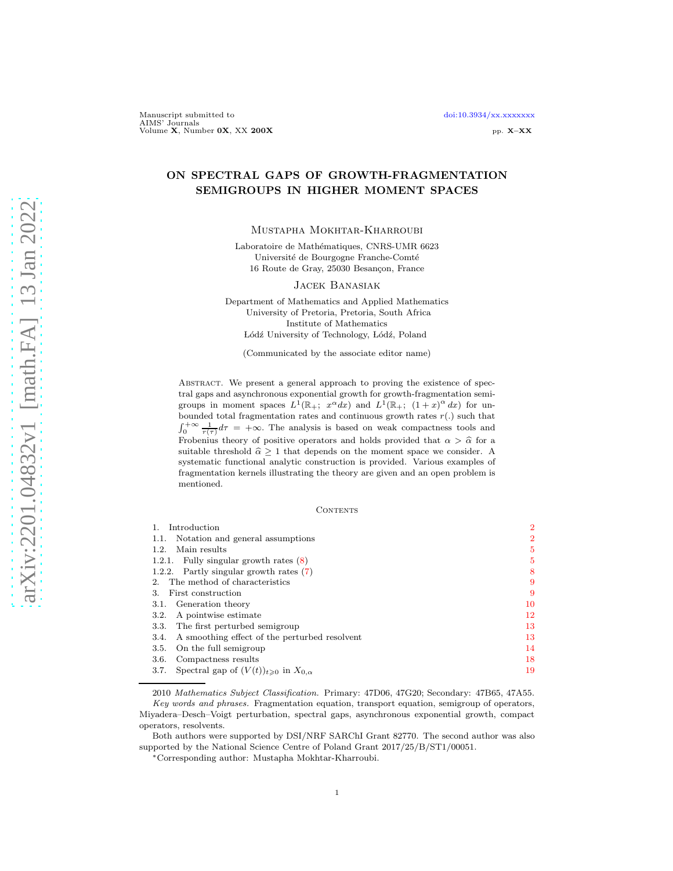# ON SPECTRAL GAPS OF GROWTH-FRAGMENTATION SEMIGROUPS IN HIGHER MOMENT SPACES

Mustapha Mokhtar-Kharroubi

Laboratoire de Mathématiques, CNRS-UMR 6623 Université de Bourgogne Franche-Comté 16 Route de Gray, 25030 Besançon, France

Jacek Banasiak

Department of Mathematics and Applied Mathematics University of Pretoria, Pretoria, South Africa Institute of Mathematics Lódź University of Technology, Lódź, Poland

(Communicated by the associate editor name)

ABSTRACT. We present a general approach to proving the existence of spectral gaps and asynchronous exponential growth for growth-fragmentation semigroups in moment spaces  $L^1(\mathbb{R}_+; x^{\alpha}dx)$  and  $L^1(\mathbb{R}_+; (1+x)^{\alpha}dx)$  for unbounded total fragmentation rates and continuous growth rates  $r(.)$  such that  $\int_0^{+\infty} \frac{1}{r(\tau)} d\tau = +\infty$ . The analysis is based on weak compactness tools and Frobenius theory of positive operators and holds provided that  $\alpha > \hat{\alpha}$  for a suitable threshold  $\hat{\alpha} \ge 1$  that depends on the moment space we consider. A systematic functional analytic construction is provided. Various examples of fragmentation kernels illustrating the theory are given and an open problem is mentioned.

#### **CONTENTS**

| Introduction                                                      |                |
|-------------------------------------------------------------------|----------------|
| Notation and general assumptions<br>1.1.                          | $\overline{2}$ |
| Main results<br>1.2.                                              | 5              |
| 1.2.1. Fully singular growth rates $(8)$                          | 5              |
| 1.2.2. Partly singular growth rates $(7)$                         | 8              |
| The method of characteristics<br>$2^{\circ}$                      | 9              |
| First construction<br>3.                                          | 9              |
| 3.1. Generation theory                                            | 10             |
| A pointwise estimate<br>3.2.                                      | 12             |
| 3.3. The first perturbed semigroup                                | 13             |
| A smoothing effect of the perturbed resolvent<br>3.4.             | 13             |
| On the full semigroup<br>3.5.                                     | 14             |
| Compactness results<br>3.6.                                       | 18             |
| Spectral gap of $(V(t))_{t\geqslant 0}$ in $X_{0,\alpha}$<br>3.7. | 19             |
|                                                                   |                |

<sup>2010</sup> Mathematics Subject Classification. Primary: 47D06, 47G20; Secondary: 47B65, 47A55. Key words and phrases. Fragmentation equation, transport equation, semigroup of operators, Miyadera–Desch–Voigt perturbation, spectral gaps, asynchronous exponential growth, compact operators, resolvents.

Both authors were supported by DSI/NRF SARChI Grant 82770. The second author was also supported by the National Science Centre of Poland Grant 2017/25/B/ST1/00051.

<sup>∗</sup>Corresponding author: Mustapha Mokhtar-Kharroubi.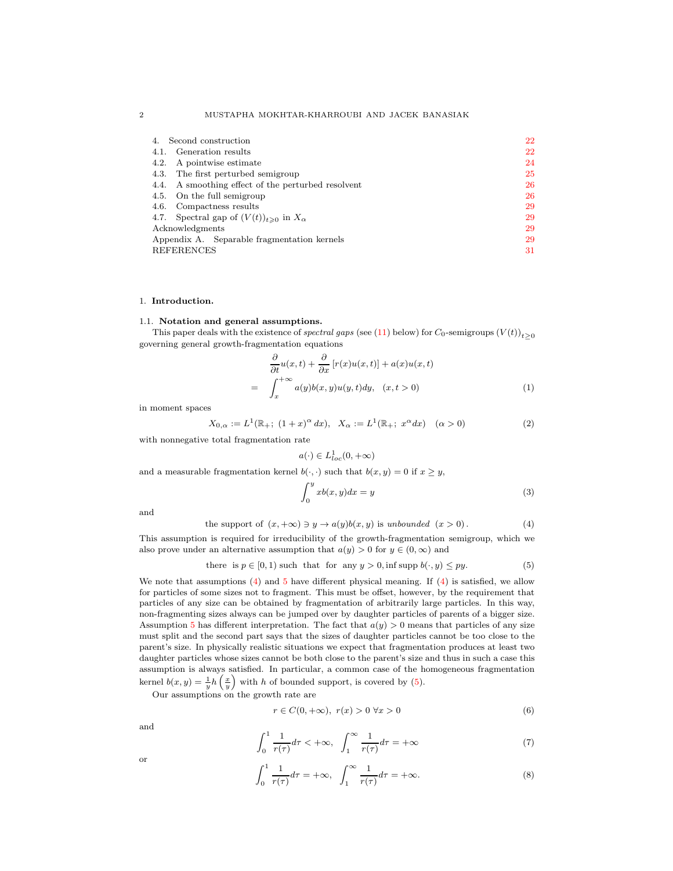| Second construction<br>4.                               | 22 |
|---------------------------------------------------------|----|
| 4.1. Generation results                                 | 22 |
| 4.2. A pointwise estimate                               | 24 |
| 4.3. The first perturbed semigroup                      | 25 |
| 4.4. A smoothing effect of the perturbed resolvent      | 26 |
| 4.5. On the full semigroup                              | 26 |
| 4.6. Compactness results                                | 29 |
| 4.7. Spectral gap of $(V(t))_{t\geq 0}$ in $X_{\alpha}$ | 29 |
| Acknowledgments                                         | 29 |
| Appendix A. Separable fragmentation kernels             | 29 |
| <b>REFERENCES</b>                                       | 31 |

#### <span id="page-1-1"></span><span id="page-1-0"></span>1. Introduction.

#### 1.1. Notation and general assumptions.

This paper deals with the existence of spectral gaps (see [\(11\)](#page-3-0) below) for  $C_0$ -semigroups  $(V(t))_{t>0}$ governing general growth-fragmentation equations

<span id="page-1-6"></span>
$$
\frac{\partial}{\partial t}u(x,t) + \frac{\partial}{\partial x}[r(x)u(x,t)] + a(x)u(x,t)
$$
\n
$$
= \int_{x}^{+\infty} a(y)b(x,y)u(y,t)dy, \quad (x,t>0)
$$
\n(1)

in moment spaces

<span id="page-1-8"></span>
$$
X_{0,\alpha} := L^1(\mathbb{R}_+; (1+x)^{\alpha} dx), \quad X_{\alpha} := L^1(\mathbb{R}_+; x^{\alpha} dx) \quad (\alpha > 0)
$$
 (2)

with nonnegative total fragmentation rate

$$
a(\cdot)\in L^1_{loc}(0,+\infty)
$$

and a measurable fragmentation kernel  $b(\cdot, \cdot)$  such that  $b(x, y) = 0$  if  $x \geq y$ ,

<span id="page-1-7"></span>
$$
\int_0^y x b(x, y) dx = y \tag{3}
$$

and

<span id="page-1-4"></span>the support of 
$$
(x, +\infty) \ni y \to a(y)b(x, y)
$$
 is unbounded  $(x > 0)$ . (4)

This assumption is required for irreducibility of the growth-fragmentation semigroup, which we also prove under an alternative assumption that  $a(y) > 0$  for  $y \in (0, \infty)$  and

<span id="page-1-5"></span>there is 
$$
p \in [0, 1)
$$
 such that for any  $y > 0$ , inf supp  $b(\cdot, y) \le py$ . (5)

We note that assumptions [\(4\)](#page-1-4) and [5](#page-1-5) have different physical meaning. If (4) is satisfied, we allow for particles of some sizes not to fragment. This must be offset, however, by the requirement that particles of any size can be obtained by fragmentation of arbitrarily large particles. In this way, non-fragmenting sizes always can be jumped over by daughter particles of parents of a bigger size. Assumption [5](#page-1-5) has different interpretation. The fact that  $a(y) > 0$  means that particles of any size must split and the second part says that the sizes of daughter particles cannot be too close to the parent's size. In physically realistic situations we expect that fragmentation produces at least two daughter particles whose sizes cannot be both close to the parent's size and thus in such a case this assumption is always satisfied. In particular, a common case of the homogeneous fragmentation kernel  $b(x, y) = \frac{1}{y}h\left(\frac{x}{y}\right)$  with h of bounded support, is covered by [\(5\)](#page-1-5).

Our assumptions on the growth rate are

<span id="page-1-9"></span>
$$
r \in C(0, +\infty), \ r(x) > 0 \ \forall x > 0 \tag{6}
$$

and

<span id="page-1-3"></span><span id="page-1-2"></span>
$$
\int_0^1 \frac{1}{r(\tau)} d\tau < +\infty, \quad \int_1^\infty \frac{1}{r(\tau)} d\tau = +\infty \tag{7}
$$

or 
$$
\int_0^1 \frac{1}{r(\tau)} d\tau = +\infty, \quad \int_1^\infty \frac{1}{r(\tau)} d\tau = +\infty.
$$
 (8)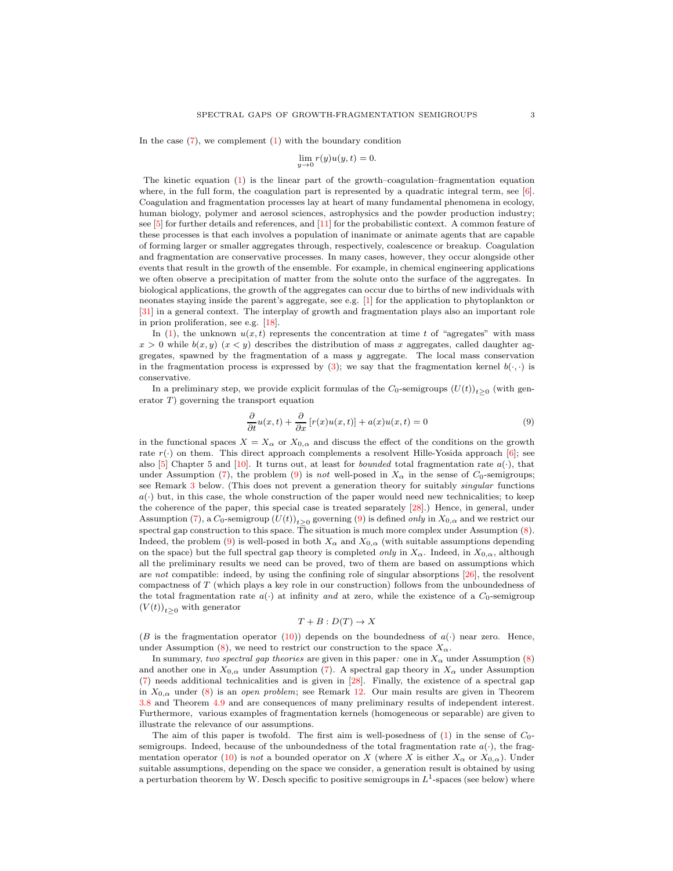In the case  $(7)$ , we complement  $(1)$  with the boundary condition

$$
\lim_{y \to 0} r(y)u(y, t) = 0.
$$

The kinetic equation [\(1\)](#page-1-6) is the linear part of the growth–coagulation–fragmentation equation where, in the full form, the coagulation part is represented by a quadratic integral term, see [\[6\]](#page-30-1). Coagulation and fragmentation processes lay at heart of many fundamental phenomena in ecology, human biology, polymer and aerosol sciences, astrophysics and the powder production industry; see [\[5\]](#page-30-2) for further details and references, and [\[11\]](#page-30-3) for the probabilistic context. A common feature of these processes is that each involves a population of inanimate or animate agents that are capable of forming larger or smaller aggregates through, respectively, coalescence or breakup. Coagulation and fragmentation are conservative processes. In many cases, however, they occur alongside other events that result in the growth of the ensemble. For example, in chemical engineering applications we often observe a precipitation of matter from the solute onto the surface of the aggregates. In biological applications, the growth of the aggregates can occur due to births of new individuals with neonates staying inside the parent's aggregate, see e.g. [\[1\]](#page-30-4) for the application to phytoplankton or [\[31\]](#page-31-0) in a general context. The interplay of growth and fragmentation plays also an important role in prion proliferation, see e.g. [\[18\]](#page-30-5).

In [\(1\)](#page-1-6), the unknown  $u(x, t)$  represents the concentration at time t of "agregates" with mass  $x > 0$  while  $b(x, y)$   $(x < y)$  describes the distribution of mass x aggregates, called daughter aggregates, spawned by the fragmentation of a mass  $y$  aggregate. The local mass conservation in the fragmentation process is expressed by [\(3\)](#page-1-7); we say that the fragmentation kernel  $b(\cdot, \cdot)$  is conservative.

In a preliminary step, we provide explicit formulas of the  $C_0$ -semigroups  $(U(t))_{t\geq0}$  (with generator  $T$ ) governing the transport equation

<span id="page-2-0"></span>
$$
\frac{\partial}{\partial t}u(x,t) + \frac{\partial}{\partial x}[r(x)u(x,t)] + a(x)u(x,t) = 0
$$
\n(9)

in the functional spaces  $X = X_{\alpha}$  or  $X_{0,\alpha}$  and discuss the effect of the conditions on the growth rate  $r(\cdot)$  on them. This direct approach complements a resolvent Hille-Yosida approach [\[6\]](#page-30-1); see also [\[5\]](#page-30-2) Chapter 5 and [\[10\]](#page-30-6). It turns out, at least for *bounded* total fragmentation rate  $a(\cdot)$ , that under Assumption [\(7\)](#page-1-3), the problem [\(9\)](#page-2-0) is not well-posed in  $X_{\alpha}$  in the sense of  $C_0$ -semigroups; see Remark [3](#page-12-2) below. (This does not prevent a generation theory for suitably singular functions  $a(\cdot)$  but, in this case, the whole construction of the paper would need new technicalities; to keep the coherence of the paper, this special case is treated separately [28].) Hence, in general, under Assumption [\(7\)](#page-1-3), a  $C_0$ -semigroup  $(U(t))_{t\geq0}$  governing [\(9\)](#page-2-0) is defined *only* in  $X_{0,\alpha}$  and we restrict our spectral gap construction to this space. The situation is much more complex under Assumption [\(8\)](#page-1-2). Indeed, the problem [\(9\)](#page-2-0) is well-posed in both  $X_{\alpha}$  and  $X_{0,\alpha}$  (with suitable assumptions depending on the space) but the full spectral gap theory is completed *only* in  $X_{\alpha}$ . Indeed, in  $X_{0,\alpha}$ , although all the preliminary results we need can be proved, two of them are based on assumptions which are not compatible: indeed, by using the confining role of singular absorptions [\[26\]](#page-31-1), the resolvent compactness of T (which plays a key role in our construction) follows from the unboundedness of the total fragmentation rate  $a(\cdot)$  at infinity and at zero, while the existence of a  $C_0$ -semigroup  $(V(t))_{t\geq 0}$  with generator

$$
T + B : D(T) \to X
$$

(B is the fragmentation operator [\(10\)](#page-3-1)) depends on the boundedness of  $a(\cdot)$  near zero. Hence, under Assumption [\(8\)](#page-1-2), we need to restrict our construction to the space  $X_{\alpha}$ .

In summary, two spectral gap theories are given in this paper: one in  $X_{\alpha}$  under Assumption [\(8\)](#page-1-2) and another one in  $X_{0,\alpha}$  under Assumption [\(7\)](#page-1-3). A spectral gap theory in  $X_{\alpha}$  under Assumption [\(7\)](#page-1-3) needs additional technicalities and is given in [28]. Finally, the existence of a spectral gap in  $X_{0,\alpha}$  under [\(8\)](#page-1-2) is an open problem; see Remark [12.](#page-26-0) Our main results are given in Theorem [3.8](#page-19-0) and Theorem [4.9](#page-28-4) and are consequences of many preliminary results of independent interest. Furthermore, various examples of fragmentation kernels (homogeneous or separable) are given to illustrate the relevance of our assumptions.

The aim of this paper is twofold. The first aim is well-posedness of  $(1)$  in the sense of  $C_0$ semigroups. Indeed, because of the unboundedness of the total fragmentation rate  $a(\cdot)$ , the frag-mentation operator [\(10\)](#page-3-1) is not a bounded operator on X (where X is either  $X_{\alpha}$  or  $X_{0,\alpha}$ ). Under suitable assumptions, depending on the space we consider, a generation result is obtained by using a perturbation theorem by W. Desch specific to positive semigroups in  $L^1$ -spaces (see below) where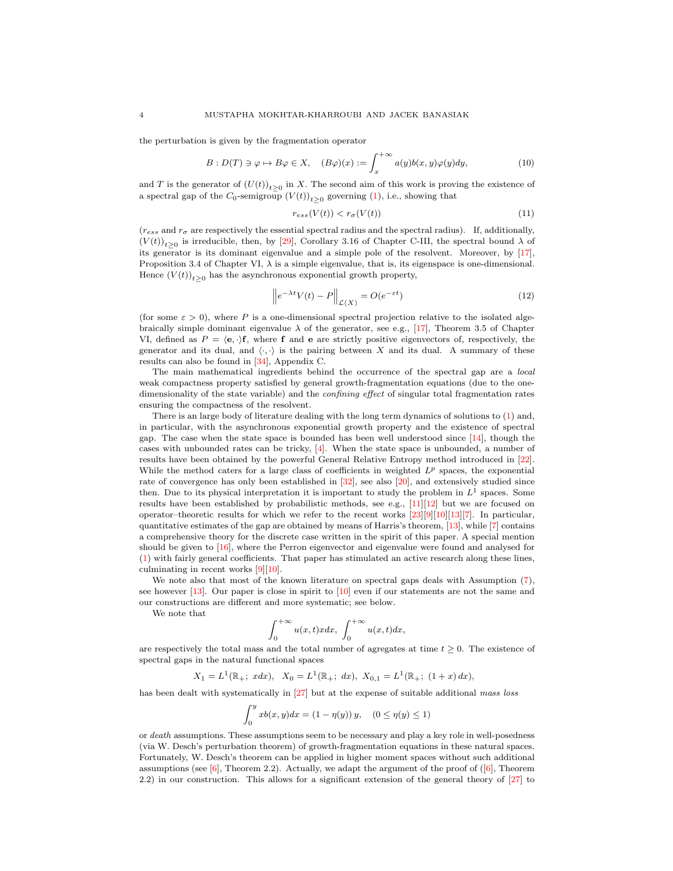the perturbation is given by the fragmentation operator

<span id="page-3-1"></span>
$$
B: D(T) \ni \varphi \mapsto B\varphi \in X, \quad (B\varphi)(x) := \int_{x}^{+\infty} a(y)b(x, y)\varphi(y)dy,\tag{10}
$$

and T is the generator of  $(U(t))_{t\geq 0}$  in X. The second aim of this work is proving the existence of a spectral gap of the  $C_0$ -semigroup  $(V(t))_{t\geq 0}$  governing [\(1\)](#page-1-6), i.e., showing that

<span id="page-3-0"></span>
$$
r_{ess}(V(t)) < r_{\sigma}(V(t)) \tag{11}
$$

 $(r_{ess}$  and  $r_{\sigma}$  are respectively the essential spectral radius and the spectral radius). If, additionally,  $(V(t))_{t\geq0}$  is irreducible, then, by [29], Corollary 3.16 of Chapter C-III, the spectral bound  $\lambda$  of its generator is its dominant eigenvalue and a simple pole of the resolvent. Moreover, by [\[17\]](#page-30-7), Proposition 3.4 of Chapter VI,  $\lambda$  is a simple eigenvalue, that is, its eigenspace is one-dimensional. Hence  $(V(t))_{t\geq 0}$  has the asynchronous exponential growth property,

<span id="page-3-2"></span>
$$
\left\|e^{-\lambda t}V(t) - P\right\|_{\mathcal{L}(X)} = O(e^{-\varepsilon t})\tag{12}
$$

(for some  $\varepsilon > 0$ ), where P is a one-dimensional spectral projection relative to the isolated algebraically simple dominant eigenvalue  $\lambda$  of the generator, see e.g., [\[17\]](#page-30-7), Theorem 3.5 of Chapter VI, defined as  $P = \langle e, \cdot \rangle$ f, where f and e are strictly positive eigenvectors of, respectively, the generator and its dual, and  $\langle \cdot, \cdot \rangle$  is the pairing between X and its dual. A summary of these results can also be found in [\[34\]](#page-31-2), Appendix C.

The main mathematical ingredients behind the occurrence of the spectral gap are a local weak compactness property satisfied by general growth-fragmentation equations (due to the onedimensionality of the state variable) and the *confining effect* of singular total fragmentation rates ensuring the compactness of the resolvent.

There is an large body of literature dealing with the long term dynamics of solutions to [\(1\)](#page-1-6) and, in particular, with the asynchronous exponential growth property and the existence of spectral gap. The case when the state space is bounded has been well understood since  $[14]$ , though the cases with unbounded rates can be tricky, [\[4\]](#page-30-9). When the state space is unbounded, a number of results have been obtained by the powerful General Relative Entropy method introduced in [\[22\]](#page-30-10). While the method caters for a large class of coefficients in weighted  $L^p$  spaces, the exponential rate of convergence has only been established in [\[32\]](#page-31-3), see also [\[20\]](#page-30-11), and extensively studied since then. Due to its physical interpretation it is important to study the problem in  $L^1$  spaces. Some results have been established by probabilistic methods, see e.g., [\[11\]](#page-30-3)[\[12\]](#page-30-12) but we are focused on operator–theoretic results for which we refer to the recent works [\[23\]](#page-31-4)[\[9\]](#page-30-13)[\[10\]](#page-30-6)[13][\[7\]](#page-30-14). In particular, quantitative estimates of the gap are obtained by means of Harris's theorem, [13], while [\[7\]](#page-30-14) contains a comprehensive theory for the discrete case written in the spirit of this paper. A special mention should be given to [\[16\]](#page-30-15), where the Perron eigenvector and eigenvalue were found and analysed for [\(1\)](#page-1-6) with fairly general coefficients. That paper has stimulated an active research along these lines, culminating in recent works [\[9\]](#page-30-13)[\[10\]](#page-30-6).

We note also that most of the known literature on spectral gaps deals with Assumption [\(7\)](#page-1-3), see however [13]. Our paper is close in spirit to [\[10\]](#page-30-6) even if our statements are not the same and our constructions are different and more systematic; see below.

We note that

$$
\int_0^{+\infty} u(x,t) x dx, \int_0^{+\infty} u(x,t) dx,
$$

are respectively the total mass and the total number of agregates at time  $t \geq 0$ . The existence of spectral gaps in the natural functional spaces

 $X_1 = L^1(\mathbb{R}_+; x dx), X_0 = L^1(\mathbb{R}_+; dx), X_{0,1} = L^1(\mathbb{R}_+; (1+x) dx),$ 

has been dealt with systematically in [27] but at the expense of suitable additional mass loss

$$
\int_0^y x b(x, y) dx = (1 - \eta(y)) y, \quad (0 \le \eta(y) \le 1)
$$

or death assumptions. These assumptions seem to be necessary and play a key role in well-posedness (via W. Desch's perturbation theorem) of growth-fragmentation equations in these natural spaces. Fortunately, W. Desch's theorem can be applied in higher moment spaces without such additional assumptions (see  $[6]$ , Theorem 2.2). Actually, we adapt the argument of the proof of  $([6]$ , Theorem 2.2) in our construction. This allows for a significant extension of the general theory of [27] to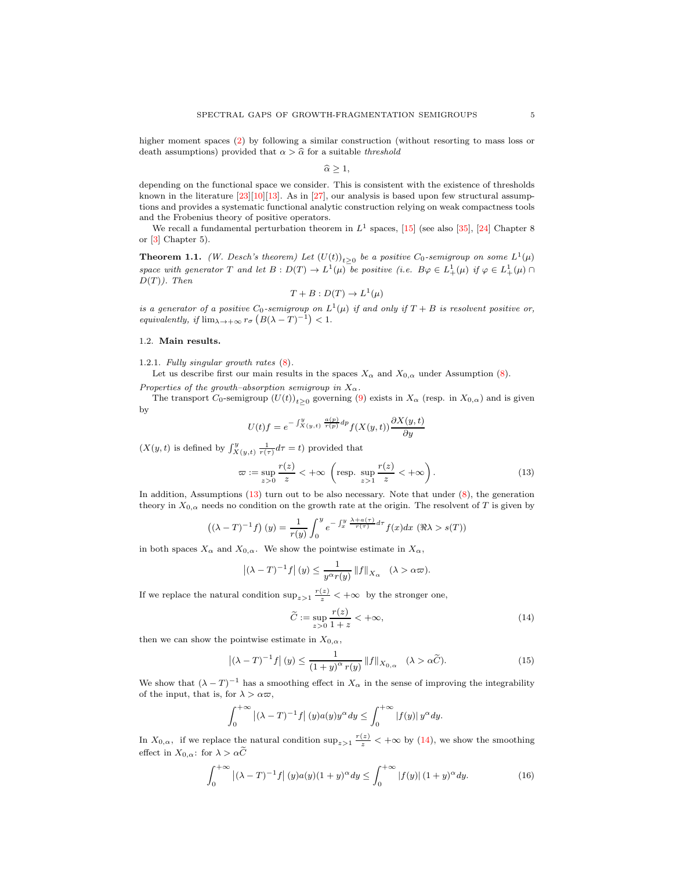higher moment spaces [\(2\)](#page-1-8) by following a similar construction (without resorting to mass loss or death assumptions) provided that  $\alpha > \hat{\alpha}$  for a suitable threshold

 $\widehat{\alpha} \geq 1$ ,

depending on the functional space we consider. This is consistent with the existence of thresholds known in the literature  $[23][10][13]$  $[23][10][13]$  $[23][10][13]$ . As in  $[27]$ , our analysis is based upon few structural assumptions and provides a systematic functional analytic construction relying on weak compactness tools and the Frobenius theory of positive operators.

We recall a fundamental perturbation theorem in  $L^1$  spaces, [\[15\]](#page-30-16) (see also [\[35\]](#page-31-5), [\[24\]](#page-31-6) Chapter 8 or [\[3\]](#page-30-17) Chapter 5).

<span id="page-4-4"></span>**Theorem 1.1.** (W. Desch's theorem) Let  $(U(t))_{t\geq0}$  be a positive  $C_0$ -semigroup on some  $L^1(\mu)$ space with generator T and let  $B: D(T) \to L^1(\mu)$  be positive (i.e.  $B\varphi \in L^1_+(\mu)$  if  $\varphi \in L^1_+(\mu) \cap L^1(\mu)$  $D(T)$ ). Then

$$
T + B : D(T) \to L^1(\mu)
$$

is a generator of a positive  $C_0$ -semigroup on  $L^1(\mu)$  if and only if  $T+B$  is resolvent positive or, equivalently, if  $\lim_{\lambda \to +\infty} r_{\sigma} \left( B(\lambda - T)^{-1} \right) < 1$ .

### <span id="page-4-1"></span><span id="page-4-0"></span>1.2. Main results.

1.2.1. Fully singular growth rates [\(8\)](#page-1-2).

Let us describe first our main results in the spaces  $X_{\alpha}$  and  $X_{0,\alpha}$  under Assumption [\(8\)](#page-1-2).

Properties of the growth–absorption semigroup in  $X_{\alpha}$ .

The transport  $C_0$ -semigroup  $(U(t))_{t\geq0}$  governing [\(9\)](#page-2-0) exists in  $X_\alpha$  (resp. in  $X_{0,\alpha}$ ) and is given by

$$
U(t)f = e^{-\int_{X(y,t)}^{y} \frac{a(p)}{r(p)} dp} f(X(y,t)) \frac{\partial X(y,t)}{\partial y}
$$

 $(X(y, t))$  is defined by  $\int_{X(y,t)}^{y} \frac{1}{r(\tau)} d\tau = t$ ) provided that

<span id="page-4-2"></span>
$$
\varpi := \sup_{z>0} \frac{r(z)}{z} < +\infty \quad \left(\text{resp. } \sup_{z>1} \frac{r(z)}{z} < +\infty\right). \tag{13}
$$

In addition, Assumptions [\(13\)](#page-4-2) turn out to be also necessary. Note that under [\(8\)](#page-1-2), the generation theory in  $X_{0,\alpha}$  needs no condition on the growth rate at the origin. The resolvent of T is given by

$$
((\lambda - T)^{-1}f)(y) = \frac{1}{r(y)} \int_0^y e^{-\int_x^y \frac{\lambda + a(\tau)}{r(\tau)} d\tau} f(x) dx \quad (\Re \lambda > s(T))
$$

in both spaces  $X_{\alpha}$  and  $X_{0,\alpha}$ . We show the pointwise estimate in  $X_{\alpha}$ ,

$$
\left| (\lambda - T)^{-1} f \right|(y) \le \frac{1}{y^{\alpha} r(y)} \left\| f \right\|_{X_{\alpha}} \quad (\lambda > \alpha \varpi).
$$

If we replace the natural condition  $\sup_{z>1} \frac{r(z)}{z} < +\infty$  by the stronger one,

<span id="page-4-3"></span>
$$
\widetilde{C} := \sup_{z>0} \frac{r(z)}{1+z} < +\infty,
$$
\n(14)

then we can show the pointwise estimate in  $X_{0,\alpha}$ ,

<span id="page-4-5"></span>
$$
\left| (\lambda - T)^{-1} f \right| (y) \le \frac{1}{(1 + y)^{\alpha} r(y)} \left\| f \right\|_{X_{0,\alpha}} \quad (\lambda > \alpha \widetilde{C}). \tag{15}
$$

We show that  $(\lambda - T)^{-1}$  has a smoothing effect in  $X_{\alpha}$  in the sense of improving the integrability of the input, that is, for  $\lambda > \alpha \varpi$ ,

$$
\int_0^{+\infty} |(\lambda - T)^{-1} f|(y) a(y) y^{\alpha} dy \le \int_0^{+\infty} |f(y)| y^{\alpha} dy.
$$

In  $X_{0,\alpha}$ , if we replace the natural condition  $\sup_{z>1} \frac{r(z)}{z} < +\infty$  by [\(14\)](#page-4-3), we show the smoothing effect in  $X_{0,\alpha}$ : for  $\lambda > \alpha \widetilde{C}$ 

<span id="page-4-6"></span>
$$
\int_0^{+\infty} |(\lambda - T)^{-1} f| (y) a(y) (1 + y)^{\alpha} dy \le \int_0^{+\infty} |f(y)| (1 + y)^{\alpha} dy.
$$
 (16)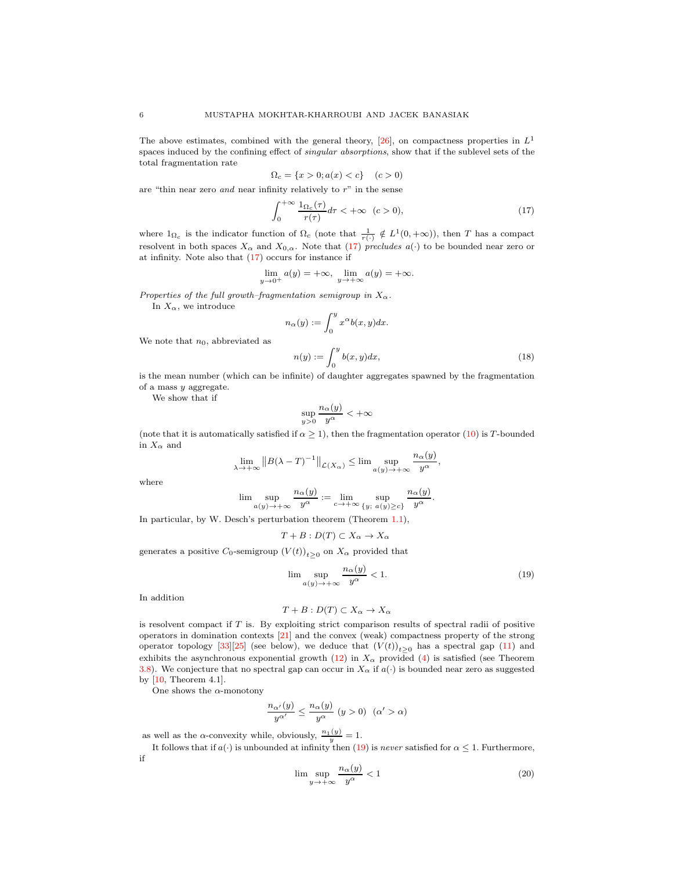The above estimates, combined with the general theory, [\[26\]](#page-31-1), on compactness properties in  $L^1$ spaces induced by the confining effect of singular absorptions, show that if the sublevel sets of the total fragmentation rate

$$
\Omega_c = \{x > 0; a(x) < c\} \quad (c > 0)
$$

are "thin near zero *and* near infinity relatively to  $r$ " in the sense

<span id="page-5-0"></span>
$$
\int_0^{+\infty} \frac{\mathbf{1}_{\Omega_c}(\tau)}{r(\tau)} d\tau < +\infty \quad (c > 0),\tag{17}
$$

where  $1_{\Omega_c}$  is the indicator function of  $\Omega_c$  (note that  $\frac{1}{r(\cdot)} \notin L^1(0, +\infty)$ ), then T has a compact resolvent in both spaces  $X_{\alpha}$  and  $X_{0,\alpha}$ . Note that [\(17\)](#page-5-0) precludes  $a(\cdot)$  to be bounded near zero or at infinity. Note also that [\(17\)](#page-5-0) occurs for instance if

$$
\lim_{y \to 0^+} a(y) = +\infty, \quad \lim_{y \to +\infty} a(y) = +\infty.
$$

Properties of the full growth–fragmentation semigroup in  $X_{\alpha}$ .

In  $X_{\alpha}$ , we introduce

<span id="page-5-3"></span>
$$
n_{\alpha}(y) := \int_0^y x^{\alpha} b(x, y) dx.
$$

$$
n(y) := \int_0^y b(x, y) dx,
$$
 (18)

We note that  $n_0$ , abbreviated as

is the mean number (which can be infinite) of daughter aggregates spawned by the fragmentation of a mass y aggregate.

We show that if

$$
\sup_{y>0} \frac{n_{\alpha}(y)}{y^{\alpha}} < +\infty
$$

(note that it is automatically satisfied if  $\alpha \geq 1$ ), then the fragmentation operator [\(10\)](#page-3-1) is T-bounded in  $X_{\alpha}$  and

$$
\lim_{\lambda \to +\infty} \|B(\lambda - T)^{-1}\|_{\mathcal{L}(X_{\alpha})} \le \lim \sup_{a(y) \to +\infty} \frac{n_{\alpha}(y)}{y^{\alpha}},
$$

where

$$
\lim \sup_{a(y) \to +\infty} \frac{n_{\alpha}(y)}{y^{\alpha}} := \lim_{c \to +\infty} \sup_{\{y; a(y) \ge c\}} \frac{n_{\alpha}(y)}{y^{\alpha}}.
$$

In particular, by W. Desch's perturbation theorem (Theorem [1.1\)](#page-4-4),

$$
T + B : D(T) \subset X_{\alpha} \to X_{\alpha}
$$

generates a positive  $C_0$ -semigroup  $(V(t))_{t\geq 0}$  on  $X_\alpha$  provided that

<span id="page-5-1"></span>
$$
\lim_{a(y)\to+\infty}\frac{n_{\alpha}(y)}{y^{\alpha}}<1.\tag{19}
$$

In addition

$$
T + B : D(T) \subset X_{\alpha} \to X_{\alpha}
$$

is resolvent compact if T is. By exploiting strict comparison results of spectral radii of positive operators in domination contexts [\[21\]](#page-30-18) and the convex (weak) compactness property of the strong operator topology [\[33\]](#page-31-7)[\[25\]](#page-31-8) (see below), we deduce that  $(V(t))_{t\geq0}$  has a spectral gap [\(11\)](#page-3-0) and exhibits the asynchronous exponential growth [\(12\)](#page-3-2) in  $X_{\alpha}$  provided [\(4\)](#page-1-4) is satisfied (see Theorem [3.8\)](#page-19-0). We conjecture that no spectral gap can occur in  $X_{\alpha}$  if  $a(\cdot)$  is bounded near zero as suggested by [\[10,](#page-30-6) Theorem 4.1].

One shows the  $\alpha$ -monotony

$$
\frac{n_{\alpha'}(y)}{y^{\alpha'}}\leq \frac{n_{\alpha}(y)}{y^{\alpha}}\;(y>0)\;\; (\alpha'>\alpha)
$$

as well as the  $\alpha$ -convexity while, obviously,  $\frac{n_1(y)}{y} = 1$ .

It follows that if  $a(\cdot)$  is unbounded at infinity then [\(19\)](#page-5-1) is never satisfied for  $\alpha \leq 1$ . Furthermore, if

<span id="page-5-2"></span>
$$
\limsup_{y \to +\infty} \frac{n_{\alpha}(y)}{y^{\alpha}} < 1 \tag{20}
$$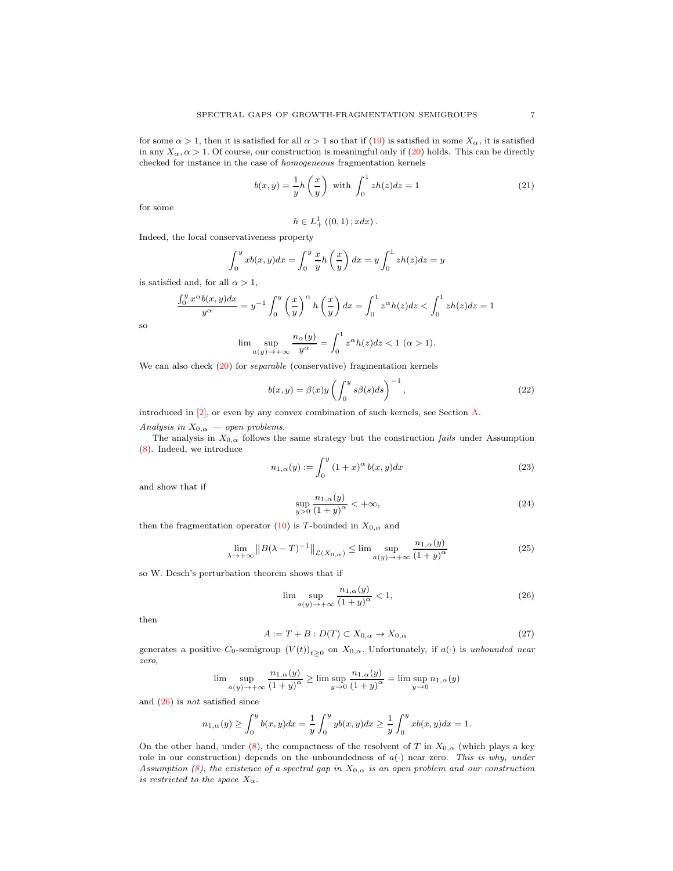for some  $\alpha > 1$ , then it is satisfied for all  $\alpha > 1$  so that if [\(19\)](#page-5-1) is satisfied in some  $X_{\alpha}$ , it is satisfied in any  $X_{\alpha}$ ,  $\alpha > 1$ . Of course, our construction is meaningful only if [\(20\)](#page-5-2) holds. This can be directly checked for instance in the case of homogeneous fragmentation kernels

<span id="page-6-4"></span>
$$
b(x,y) = \frac{1}{y}h\left(\frac{x}{y}\right) \text{ with } \int_0^1 zh(z)dz = 1 \tag{21}
$$

for some

$$
h \in L_+^1((0,1); x dx) .
$$

Indeed, the local conservativeness property

$$
\int_0^y x b(x, y) dx = \int_0^y \frac{x}{y} h\left(\frac{x}{y}\right) dx = y \int_0^1 z h(z) dz = y
$$

is satisfied and, for all  $\alpha > 1$ ,

$$
\frac{\int_0^y x^{\alpha} b(x, y) dx}{y^{\alpha}} = y^{-1} \int_0^y \left(\frac{x}{y}\right)^{\alpha} h\left(\frac{x}{y}\right) dx = \int_0^1 z^{\alpha} h(z) dz < \int_0^1 z h(z) dz = 1
$$

so

$$
\lim_{\alpha(y)\to+\infty}\frac{n_{\alpha}(y)}{y^{\alpha}}=\int_0^1z^{\alpha}h(z)dz<1\ (\alpha>1).
$$

We can also check  $(20)$  for *separable* (conservative) fragmentation kernels

<span id="page-6-5"></span>
$$
b(x,y) = \beta(x)y \left( \int_0^y s\beta(s)ds \right)^{-1}, \qquad (22)
$$

introduced in [2], or even by any convex combination of such kernels, see Section [A.](#page-28-3)

Analysis in  $X_{0,\alpha}$  — open problems.

The analysis in  $X_{0,\alpha}$  follows the same strategy but the construction *fails* under Assumption [\(8\)](#page-1-2). Indeed, we introduce

<span id="page-6-1"></span>
$$
n_{1,\alpha}(y) := \int_0^y (1+x)^\alpha b(x,y) dx \tag{23}
$$

and show that if

<span id="page-6-2"></span>
$$
\sup_{y>0} \frac{n_{1,\alpha}(y)}{(1+y)^{\alpha}} < +\infty,
$$
\n(24)

then the fragmentation operator [\(10\)](#page-3-1) is T-bounded in  $X_{0,\alpha}$  and

$$
\lim_{\lambda \to +\infty} \|B(\lambda - T)^{-1}\|_{\mathcal{L}(X_{0,\alpha})} \le \lim \sup_{a(y) \to +\infty} \frac{n_{1,\alpha}(y)}{(1+y)^{\alpha}} \tag{25}
$$

so W. Desch's perturbation theorem shows that if

<span id="page-6-0"></span>
$$
\lim_{a(y)\to+\infty} \frac{n_{1,\alpha}(y)}{(1+y)^{\alpha}} < 1,\tag{26}
$$

then

<span id="page-6-3"></span>
$$
A := T + B : D(T) \subset X_{0,\alpha} \to X_{0,\alpha} \tag{27}
$$

generates a positive  $C_0$ -semigroup  $(V(t))_{t\geq 0}$  on  $X_{0,\alpha}$ . Unfortunately, if  $a(\cdot)$  is unbounded near zero,

$$
\lim \sup_{a(y) \to +\infty} \frac{n_{1,\alpha}(y)}{(1+y)^{\alpha}} \ge \lim \sup_{y \to 0} \frac{n_{1,\alpha}(y)}{(1+y)^{\alpha}} = \lim \sup_{y \to 0} n_{1,\alpha}(y)
$$

and [\(26\)](#page-6-0) is not satisfied since

$$
n_{1,\alpha}(y) \ge \int_0^y b(x,y)dx = \frac{1}{y} \int_0^y yb(x,y)dx \ge \frac{1}{y} \int_0^y xb(x,y)dx = 1.
$$

On the other hand, under [\(8\)](#page-1-2), the compactness of the resolvent of T in  $X_{0,\alpha}$  (which plays a key role in our construction) depends on the unboundedness of  $a(\cdot)$  near zero. This is why, under Assumption [\(8\)](#page-1-2), the existence of a spectral gap in  $X_{0,\alpha}$  is an open problem and our construction is restricted to the space  $X_{\alpha}$ .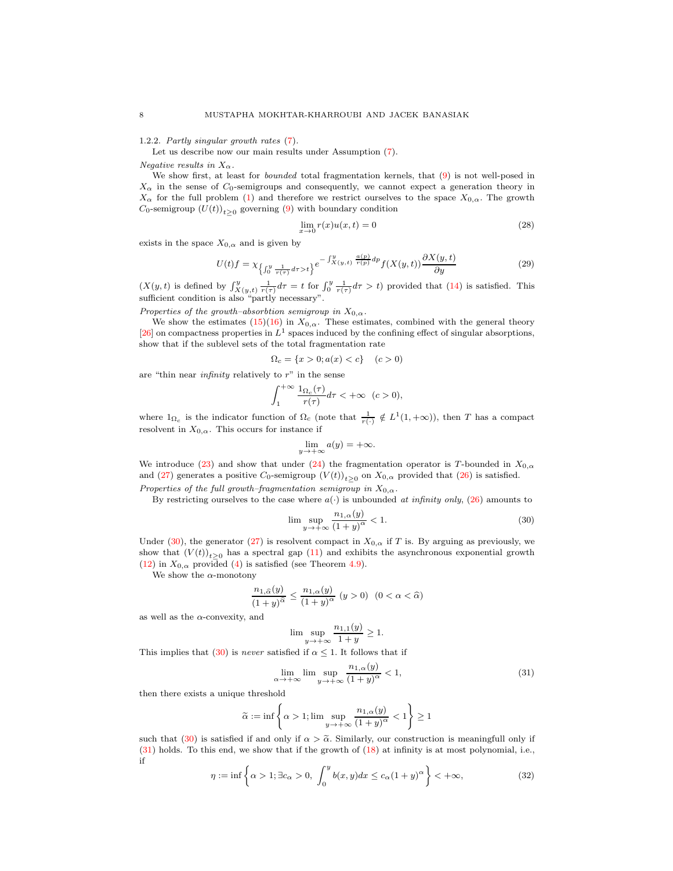<span id="page-7-0"></span>1.2.2. Partly singular growth rates [\(7\)](#page-1-3).

Let us describe now our main results under Assumption [\(7\)](#page-1-3).

Negative results in  $X_{\alpha}$ .

We show first, at least for bounded total fragmentation kernels, that [\(9\)](#page-2-0) is not well-posed in  $X_{\alpha}$  in the sense of  $C_0$ -semigroups and consequently, we cannot expect a generation theory in  $X_{\alpha}$  for the full problem [\(1\)](#page-1-6) and therefore we restrict ourselves to the space  $X_{0,\alpha}$ . The growth  $C_0$ -semigroup  $(U(t))_{t\geq0}$  governing [\(9\)](#page-2-0) with boundary condition

$$
\lim_{x \to 0} r(x)u(x,t) = 0
$$
\n(28)

exists in the space  $X_{0,\alpha}$  and is given by

$$
U(t)f = \chi_{\left\{\int_0^y \frac{1}{r(\tau)} d\tau > t\right\}} e^{-\int_{X(y,t)}^y \frac{a(p)}{r(p)} dp} f(X(y,t)) \frac{\partial X(y,t)}{\partial y}
$$
(29)

 $(X(y,t))$  is defined by  $\int_{X(y,t)}^{y} \frac{1}{r(\tau)} d\tau = t$  for  $\int_{0}^{y} \frac{1}{r(\tau)} d\tau > t$  provided that  $(14)$  is satisfied. This sufficient condition is also "partly necessary".

Properties of the growth–absorbtion semigroup in  $X_{0,\alpha}$ .

We show the estimates  $(15)(16)$  $(15)(16)$  in  $X_{0,\alpha}$ . These estimates, combined with the general theory [\[26\]](#page-31-1) on compactness properties in  $L^1$  spaces induced by the confining effect of singular absorptions, show that if the sublevel sets of the total fragmentation rate

$$
\Omega_c = \{x > 0; a(x) < c\} \quad (c > 0)
$$

are "thin near *infinity* relatively to  $r$ " in the sense

$$
\int_{1}^{+\infty} \frac{\mathbb{1}_{\Omega_c}(\tau)}{r(\tau)} d\tau < +\infty \quad (c > 0),
$$

where  $1_{\Omega_c}$  is the indicator function of  $\Omega_c$  (note that  $\frac{1}{r(\cdot)} \notin L^1(1, +\infty)$ ), then T has a compact resolvent in  $X_{0,\alpha}$ . This occurs for instance if

$$
\lim_{y \to +\infty} a(y) = +\infty.
$$

We introduce [\(23\)](#page-6-1) and show that under [\(24\)](#page-6-2) the fragmentation operator is T-bounded in  $X_{0,\alpha}$ and [\(27\)](#page-6-3) generates a positive  $C_0$ -semigroup  $(V(t))_{t\geq0}$  on  $X_{0,\alpha}$  provided that [\(26\)](#page-6-0) is satisfied. Properties of the full growth–fragmentation semigroup in  $X_{0,\alpha}$ .

By restricting ourselves to the case where  $a(\cdot)$  is unbounded at infinity only,  $(26)$  amounts to

<span id="page-7-1"></span>
$$
\limsup_{y \to +\infty} \frac{n_{1,\alpha}(y)}{(1+y)^{\alpha}} < 1.
$$
\n(30)

Under [\(30\)](#page-7-1), the generator [\(27\)](#page-6-3) is resolvent compact in  $X_{0,\alpha}$  if T is. By arguing as previously, we show that  $(V(t))_{t\geq 0}$  has a spectral gap  $(11)$  and exhibits the asynchronous exponential growth [\(12\)](#page-3-2) in  $X_{0,\alpha}$  provided [\(4\)](#page-1-4) is satisfied (see Theorem [4.9\)](#page-28-4).

We show the  $\alpha$ -monotony

$$
\frac{n_{1,\widehat{\alpha}}(y)}{\left(1+y\right)^{\widehat{\alpha}}}\leq\frac{n_{1,\alpha}(y)}{\left(1+y\right)^{\alpha}}\,\left(y>0\right)\ \, (0<\alpha<\widehat{\alpha})
$$

as well as the  $\alpha$ -convexity, and

$$
\lim \sup_{y \to +\infty} \frac{n_{1,1}(y)}{1+y} \ge 1.
$$

This implies that [\(30\)](#page-7-1) is never satisfied if  $\alpha \leq 1$ . It follows that if

<span id="page-7-2"></span>
$$
\lim_{\alpha \to +\infty} \lim \sup_{y \to +\infty} \frac{n_{1,\alpha}(y)}{(1+y)^{\alpha}} < 1,\tag{31}
$$

then there exists a unique threshold

$$
\widetilde{\alpha}:=\inf\left\{\alpha>1; \lim\sup_{y\to+\infty}\frac{n_{1,\alpha}(y)}{\left(1+y\right)^{\alpha}}<1\right\}\geq 1
$$

such that [\(30\)](#page-7-1) is satisfied if and only if  $\alpha > \tilde{\alpha}$ . Similarly, our construction is meaningfull only if [\(31\)](#page-7-2) holds. To this end, we show that if the growth of [\(18\)](#page-5-3) at infinity is at most polynomial, i.e., if

$$
\eta := \inf \left\{ \alpha > 1; \exists c_{\alpha} > 0, \int_{0}^{y} b(x, y) dx \le c_{\alpha} (1 + y)^{\alpha} \right\} < +\infty,
$$
 (32)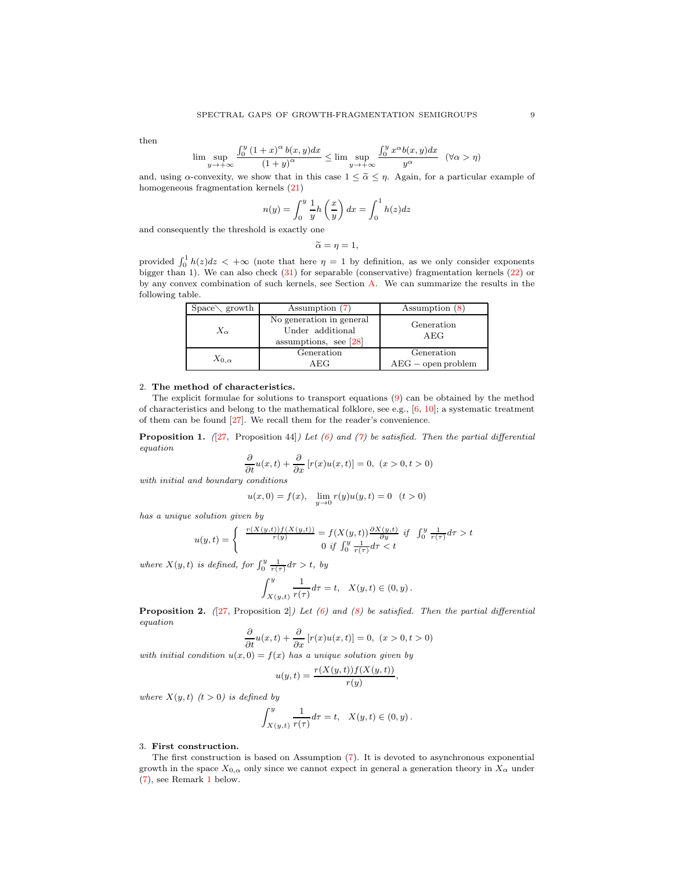then

$$
\lim \sup_{y \to +\infty} \frac{\int_0^y (1+x)^\alpha b(x,y) dx}{(1+y)^\alpha} \le \lim \sup_{y \to +\infty} \frac{\int_0^y x^\alpha b(x,y) dx}{y^\alpha} \quad (\forall \alpha > \eta)
$$

and, using  $\alpha$ -convexity, we show that in this case  $1 \leq \tilde{\alpha} \leq \eta$ . Again, for a particular example of homogeneous fragmentation kernels [\(21\)](#page-6-4)

$$
n(y) = \int_0^y \frac{1}{y} h\left(\frac{x}{y}\right) dx = \int_0^1 h(z) dz
$$

and consequently the threshold is exactly one

$$
\widetilde{\alpha}=\eta=1,
$$

provided  $\int_0^1 h(z)dz < +\infty$  (note that here  $\eta = 1$  by definition, as we only consider exponents bigger than 1). We can also check [\(31\)](#page-7-2) for separable (conservative) fragmentation kernels [\(22\)](#page-6-5) or by any convex combination of such kernels, see Section [A.](#page-28-3) We can summarize the results in the following table.

| $Space\setminus growth$ | Assumption (7)                                                          | Assumption $(8)$                   |
|-------------------------|-------------------------------------------------------------------------|------------------------------------|
| $X_{\alpha}$            | No generation in general<br>Under additional<br>assumptions, see $[28]$ | Generation<br>AEG                  |
| $X_{0,\alpha}$          | Generation<br>AEG                                                       | Generation<br>$AEG$ – open problem |

### <span id="page-8-0"></span>2. The method of characteristics.

The explicit formulae for solutions to transport equations [\(9\)](#page-2-0) can be obtained by the method of characteristics and belong to the mathematical folklore, see e.g.,  $[6, 10]$  $[6, 10]$ ; a systematic treatment of them can be found [27]. We recall them for the reader's convenience.

**Proposition 1.** ([27, Proposition 44]) Let [\(6\)](#page-1-9) and [\(7\)](#page-1-3) be satisfied. Then the partial differential equation

$$
\frac{\partial}{\partial t}u(x,t) + \frac{\partial}{\partial x}[r(x)u(x,t)] = 0, (x > 0, t > 0)
$$

with initial and boundary conditions

$$
u(x,0) = f(x), \quad \lim_{y \to 0} r(y)u(y,t) = 0 \quad (t > 0)
$$

has a unique solution given by

$$
u(y,t)=\left\{\begin{array}{cc}\frac{r(X(y,t))f(X(y,t))}{r(y)}=f(X(y,t))\frac{\partial X(y,t)}{\partial y}\ \mbox{if}\ \ \int_0^y\frac{1}{r(\tau)}d\tau>t\\ 0\ \mbox{if}\ \int_0^y\frac{1}{r(\tau)}d\tau
$$

where  $X(y,t)$  is defined, for  $\int_0^y \frac{1}{r(\tau)} d\tau > t$ , by

$$
\int_{X(y,t)}^{y} \frac{1}{r(\tau)} d\tau = t, \quad X(y,t) \in (0,y).
$$

**Proposition 2.** ([27, Proposition 2]) Let [\(6\)](#page-1-9) and [\(8\)](#page-1-2) be satisfied. Then the partial differential equation

$$
\frac{\partial}{\partial t}u(x,t) + \frac{\partial}{\partial x}[r(x)u(x,t)] = 0, \ (x > 0, t > 0)
$$

with initial condition  $u(x, 0) = f(x)$  has a unique solution given by

$$
u(y,t) = \frac{r(X(y,t))f(X(y,t))}{r(y)},
$$

where  $X(y, t)$   $(t > 0)$  is defined by

$$
\int_{X(y,t)}^{y} \frac{1}{r(\tau)} d\tau = t, \quad X(y,t) \in (0,y).
$$

#### <span id="page-8-1"></span>3. First construction.

The first construction is based on Assumption [\(7\)](#page-1-3). It is devoted to asynchronous exponential growth in the space  $X_{0,\alpha}$  only since we cannot expect in general a generation theory in  $X_{\alpha}$  under [\(7\)](#page-1-3), see Remark [1](#page-11-1) below.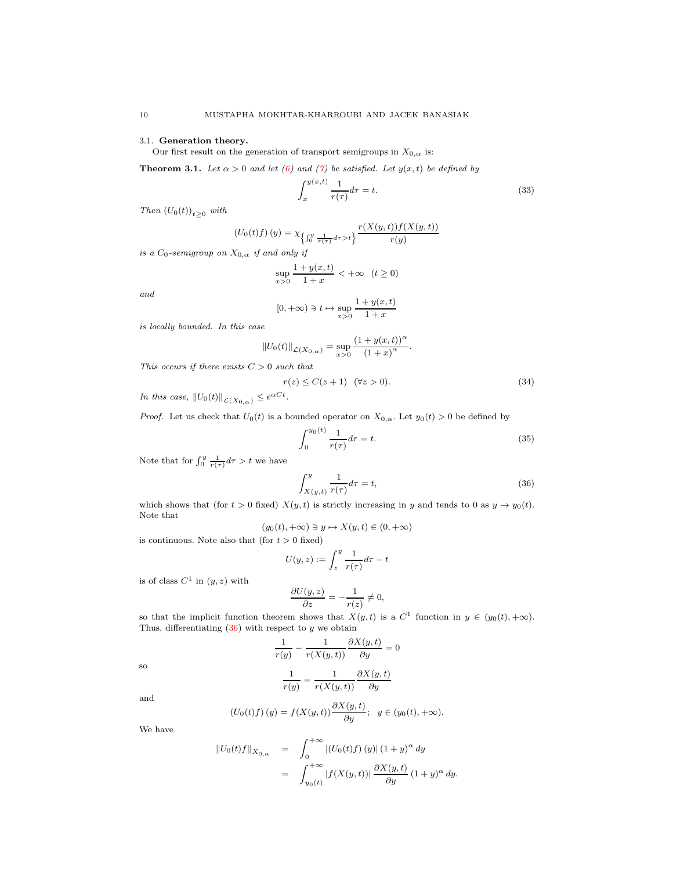## <span id="page-9-0"></span>3.1. Generation theory.

Our first result on the generation of transport semigroups in  $X_{0,\alpha}$  is:

<span id="page-9-5"></span>**Theorem 3.1.** Let  $\alpha > 0$  and let [\(6\)](#page-1-9) and [\(7\)](#page-1-3) be satisfied. Let  $y(x, t)$  be defined by

<span id="page-9-2"></span>
$$
\int_{x}^{y(x,t)} \frac{1}{r(\tau)} d\tau = t.
$$
\n(33)

Then  $(U_0(t))_{t\geq 0}$  with

$$
(U_0(t)f)(y) = \chi_{\left\{\int_0^y \frac{1}{r(\tau)} d\tau > t\right\}} \frac{r(X(y,t))f(X(y,t))}{r(y)}
$$

is a  $C_0$ -semigroup on  $X_{0,\alpha}$  if and only if

$$
\sup_{x>0} \frac{1 + y(x, t)}{1 + x} < +\infty \quad (t \ge 0)
$$

and

$$
[0, +\infty) \ni t \mapsto \sup_{x>0} \frac{1+y(x, t)}{1+x}
$$

is locally bounded. In this case

$$
||U_0(t)||_{\mathcal{L}(X_{0,\alpha})} = \sup_{x>0} \frac{(1+y(x,t))^{\alpha}}{(1+x)^{\alpha}}.
$$

This occurs if there exists  $C > 0$  such that

<span id="page-9-3"></span>
$$
r(z) \le C(z+1) \quad (\forall z > 0). \tag{34}
$$

In this case,  $||U_0(t)||_{\mathcal{L}(X_{0,\alpha})} \leq e^{\alpha Ct}$ .

*Proof.* Let us check that  $U_0(t)$  is a bounded operator on  $X_{0,\alpha}$ . Let  $y_0(t) > 0$  be defined by

<span id="page-9-4"></span>
$$
\int_{0}^{y_{0}(t)} \frac{1}{r(\tau)} d\tau = t.
$$
\n(35)

Note that for  $\int_0^y \frac{1}{r(\tau)} d\tau > t$  we have

<span id="page-9-1"></span>
$$
\int_{X(y,t)}^{y} \frac{1}{r(\tau)} d\tau = t,\tag{36}
$$

which shows that (for  $t > 0$  fixed)  $X(y, t)$  is strictly increasing in y and tends to 0 as  $y \to y_0(t)$ . Note that

$$
(y_0(t), +\infty) \ni y \mapsto X(y, t) \in (0, +\infty)
$$

is continuous. Note also that (for  $t > 0$  fixed)

$$
U(y, z) := \int_{z}^{y} \frac{1}{r(\tau)} d\tau - t
$$

is of class  $C^1$  in  $(y, z)$  with

$$
\frac{\partial U(y, z)}{\partial z} = -\frac{1}{r(z)} \neq 0,
$$

so that the implicit function theorem shows that  $X(y, t)$  is a  $C^1$  function in  $y \in (y_0(t), +\infty)$ . Thus, differentiating  $(36)$  with respect to  $y$  we obtain

$$
\frac{1}{r(y)} - \frac{1}{r(X(y,t))} \frac{\partial X(y,t)}{\partial y} = 0
$$
  
1 1 0 X(y,t)

so and

$$
\frac{1}{r(y)} = \frac{1}{r(X(y,t))} \frac{\partial X(y,t)}{\partial y}
$$

We have

$$
(U_0(t)f)(y) = f(X(y,t)) \frac{\partial X(y,t)}{\partial y}; \quad y \in (y_0(t), +\infty).
$$

$$
\begin{array}{rcl} \left\|U_0(t)f\right\|_{X_{0,\alpha}} & = & \int_0^\infty \left| \left(U_0(t)f\right)(y)\right| (1+y)^\alpha \, dy \\ \\ & = & \int_{y_0(t)}^{+\infty} \left|f(X(y,t))\right| \frac{\partial X(y,t)}{\partial y} \left(1+y\right)^\alpha \, dy. \end{array}
$$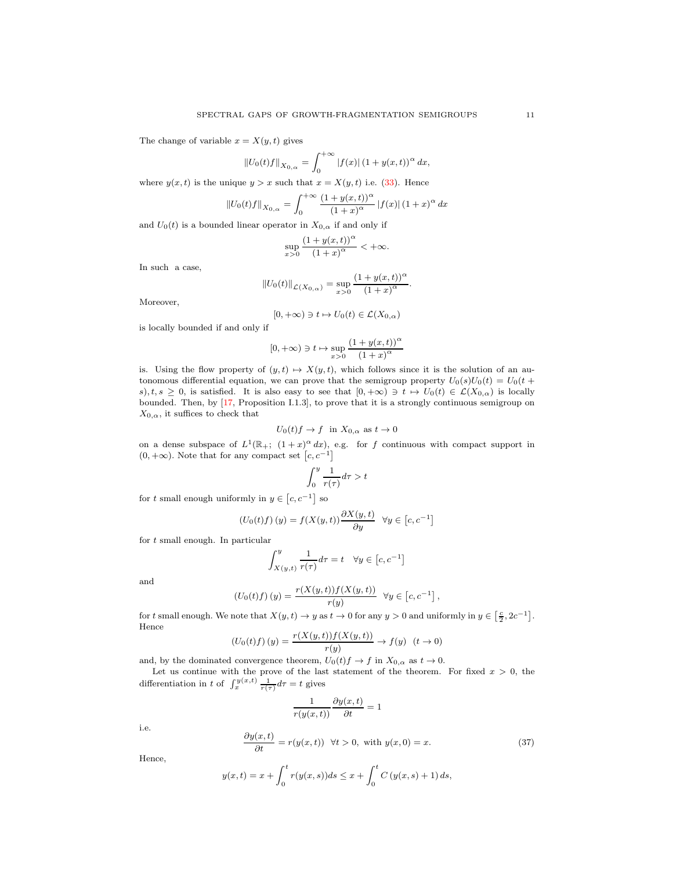The change of variable  $x = X(y, t)$  gives

$$
||U_0(t)f||_{X_{0,\alpha}} = \int_0^{+\infty} |f(x)| (1 + y(x,t))^\alpha dx,
$$

where  $y(x, t)$  is the unique  $y > x$  such that  $x = X(y, t)$  i.e. [\(33\)](#page-9-2). Hence

$$
||U_0(t)f||_{X_{0,\alpha}} = \int_0^{+\infty} \frac{(1+y(x,t))^{\alpha}}{(1+x)^{\alpha}} |f(x)| (1+x)^{\alpha} dx
$$

and  $U_0(t)$  is a bounded linear operator in  $X_{0,\alpha}$  if and only if

$$
\sup_{x>0} \frac{(1+y(x,t))^\alpha}{(1+x)^\alpha} < +\infty.
$$

In such a case,

$$
||U_0(t)||_{\mathcal{L}(X_{0,\alpha})} = \sup_{x>0} \frac{(1+y(x,t))^{\alpha}}{(1+x)^{\alpha}}.
$$

Moreover,

$$
[0, +\infty) \ni t \mapsto U_0(t) \in \mathcal{L}(X_{0,\alpha})
$$

is locally bounded if and only if

$$
[0, +\infty) \ni t \mapsto \sup_{x>0} \frac{(1+y(x,t))^{\alpha}}{(1+x)^{\alpha}}
$$

is. Using the flow property of  $(y, t) \mapsto X(y, t)$ , which follows since it is the solution of an autonomous differential equation, we can prove that the semigroup property  $U_0(s)U_0(t) = U_0(t +$ s),  $t, s \geq 0$ , is satisfied. It is also easy to see that  $[0, +\infty) \ni t \mapsto U_0(t) \in \mathcal{L}(X_{0,\alpha})$  is locally bounded. Then, by [\[17,](#page-30-7) Proposition I.1.3], to prove that it is a strongly continuous semigroup on  $X_{0,\alpha}$ , it suffices to check that

$$
U_0(t)f \to f
$$
 in  $X_{0,\alpha}$  as  $t \to 0$ 

on a dense subspace of  $L^1(\mathbb{R}_+; (1+x)^{\alpha} dx)$ , e.g. for f continuous with compact support in  $(0, +\infty)$ . Note that for any compact set  $[c, c^{-1}]$ 

$$
\int_0^y \frac{1}{r(\tau)} d\tau > t
$$

for t small enough uniformly in  $y \in [c, c^{-1}]$  so

$$
(U_0(t)f)(y) = f(X(y,t)) \frac{\partial X(y,t)}{\partial y} \quad \forall y \in [c, c^{-1}]
$$

for t small enough. In particular

$$
\int_{X(y,t)}^{y} \frac{1}{r(\tau)} d\tau = t \quad \forall y \in [c, c^{-1}]
$$

and

$$
(U_0(t)f)(y) = \frac{r(X(y,t))f(X(y,t))}{r(y)} \quad \forall y \in [c, c^{-1}],
$$

for t small enough. We note that  $X(y,t) \to y$  as  $t \to 0$  for any  $y > 0$  and uniformly in  $y \in \left[\frac{c}{2}, 2c^{-1}\right]$ . Hence

$$
(U_0(t)f)(y) = \frac{r(X(y,t))f(X(y,t))}{r(y)} \to f(y) \ \ (t \to 0)
$$

and, by the dominated convergence theorem,  $U_0(t)f \to f$  in  $X_{0,\alpha}$  as  $t \to 0$ .

Let us continue with the prove of the last statement of the theorem. For fixed  $x > 0$ , the differentiation in t of  $\int_x^{y(x,t)} \frac{1}{r(\tau)} d\tau = t$  gives

$$
\frac{1}{r(y(x,t))} \frac{\partial y(x,t)}{\partial t} = 1
$$

i.e.

<span id="page-10-0"></span>
$$
\frac{\partial y(x,t)}{\partial t} = r(y(x,t)) \quad \forall t > 0, \text{ with } y(x,0) = x. \tag{37}
$$

Hence,

$$
y(x,t) = x + \int_0^t r(y(x,s))ds \le x + \int_0^t C(y(x,s) + 1) ds,
$$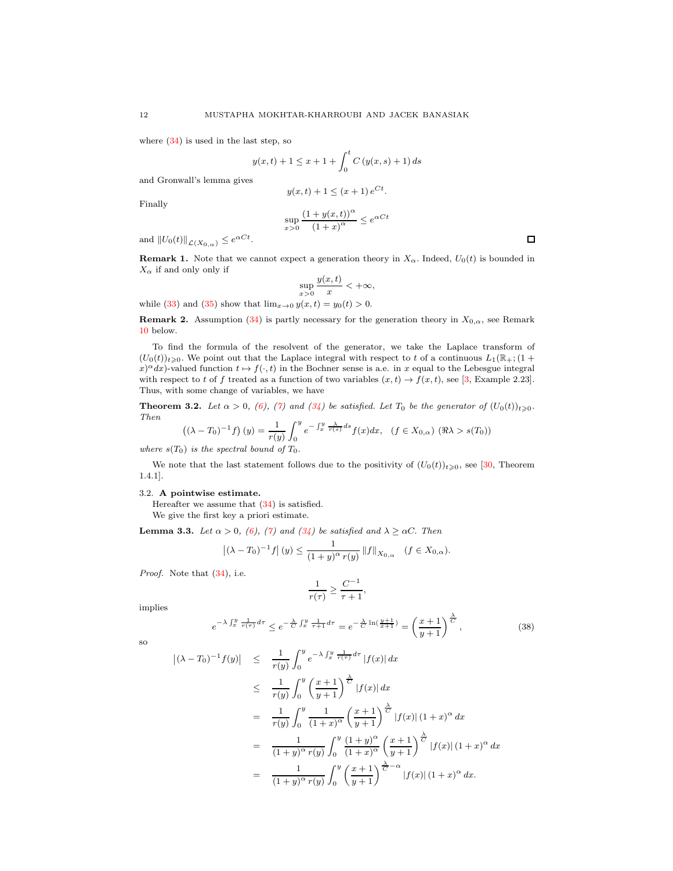where [\(34\)](#page-9-3) is used in the last step, so

$$
y(x,t) + 1 \le x + 1 + \int_0^t C(y(x, s) + 1) ds
$$

and Gronwall's lemma gives

$$
y(x,t) + 1 \le (x+1) e^{Ct}.
$$

Finally

$$
\sup_{x>0} \frac{(1+y(x,t))^{\alpha}}{(1+x)^{\alpha}} \le e^{\alpha Ct}
$$

and  $||U_0(t)||_{\mathcal{L}(X_{0,\alpha})} \leq e^{\alpha Ct}$ .

<span id="page-11-1"></span>**Remark 1.** Note that we cannot expect a generation theory in  $X_\alpha$ . Indeed,  $U_0(t)$  is bounded in  $X_{\alpha}$  if and only only if

$$
\sup_{x>0} \frac{y(x,t)}{x} < +\infty,
$$

while [\(33\)](#page-9-2) and [\(35\)](#page-9-4) show that  $\lim_{x\to 0} y(x,t) = y_0(t) > 0$ .

**Remark 2.** Assumption [\(34\)](#page-9-3) is partly necessary for the generation theory in  $X_{0,\alpha}$ , see Remark [10](#page-22-0) below.

To find the formula of the resolvent of the generator, we take the Laplace transform of  $(U_0(t))_{t\geqslant0}$ . We point out that the Laplace integral with respect to t of a continuous  $L_1(\mathbb{R}_+;(1+\alpha))$  $x^{\alpha}dx$ -valued function  $t \mapsto f(\cdot, t)$  in the Bochner sense is a.e. in x equal to the Lebesgue integral with respect to t of f treated as a function of two variables  $(x, t) \rightarrow f(x, t)$ , see [\[3,](#page-30-17) Example 2.23]. Thus, with some change of variables, we have

<span id="page-11-2"></span>**Theorem 3.2.** Let  $\alpha > 0$ , [\(6\)](#page-1-9), [\(7\)](#page-1-3) and [\(34\)](#page-9-3) be satisfied. Let  $T_0$  be the generator of  $(U_0(t))_{t\geq0}$ . Then  $\overline{a}$ 

$$
((\lambda - T_0)^{-1} f) (y) = \frac{1}{r(y)} \int_0^y e^{-\int_x^y \frac{\lambda}{r(s)} ds} f(x) dx, \quad (f \in X_{0,\alpha}) \quad (\Re \lambda > s(T_0))
$$

where  $s(T_0)$  is the spectral bound of  $T_0$ .

We note that the last statement follows due to the positivity of  $(U_0(t))_{t\geqslant0}$ , see [\[30,](#page-31-9) Theorem 1.4.1].

### <span id="page-11-0"></span>3.2. A pointwise estimate.

Hereafter we assume that [\(34\)](#page-9-3) is satisfied. We give the first key a priori estimate.

<span id="page-11-4"></span>**Lemma 3.3.** Let  $\alpha > 0$ , [\(6\)](#page-1-9), [\(7\)](#page-1-3) and [\(34\)](#page-9-3) be satisfied and  $\lambda \geq \alpha C$ . Then

$$
|(\lambda - T_0)^{-1} f|(y) \le \frac{1}{(1+y)^{\alpha} r(y)} ||f||_{X_{0,\alpha}} \quad (f \in X_{0,\alpha}).
$$

Proof. Note that  $(34)$ , i.e.

$$
\frac{1}{r(\tau)} \ge \frac{C^{-1}}{\tau + 1},
$$

implies

<span id="page-11-3"></span>
$$
e^{-\lambda \int_x^y \frac{1}{r(\tau)} d\tau} \le e^{-\frac{\lambda}{C} \int_x^y \frac{1}{\tau + 1} d\tau} = e^{-\frac{\lambda}{C} \ln(\frac{y+1}{x+1})} = \left(\frac{x+1}{y+1}\right)^{\frac{\lambda}{C}}
$$

, (38)

$$
\overline{S}O
$$

$$
\begin{array}{rcl} \left| (\lambda - T_0)^{-1} f(y) \right| & \leq & \frac{1}{r(y)} \int_0^y e^{-\lambda \int_x^y \frac{1}{r(\tau)} d\tau} |f(x)| \, dx \\ \\ & \leq & \frac{1}{r(y)} \int_0^y \left( \frac{x+1}{y+1} \right) \frac{1}{\tau(x)} |f(x)| \, dx \\ \\ & = & \frac{1}{r(y)} \int_0^y \frac{1}{(1+x)^{\alpha}} \left( \frac{x+1}{y+1} \right) \frac{1}{\tau(x)} |f(x)| \, (1+x)^{\alpha} \, dx \\ \\ & = & \frac{1}{(1+y)^{\alpha} r(y)} \int_0^y \frac{(1+y)^{\alpha}}{(1+x)^{\alpha}} \left( \frac{x+1}{y+1} \right) \frac{1}{\tau(x)} |f(x)| \, (1+x)^{\alpha} \, dx \\ \\ & = & \frac{1}{(1+y)^{\alpha} r(y)} \int_0^y \left( \frac{x+1}{y+1} \right) \frac{1}{\tau(x)} |f(x)| \, (1+x)^{\alpha} \, dx. \end{array}
$$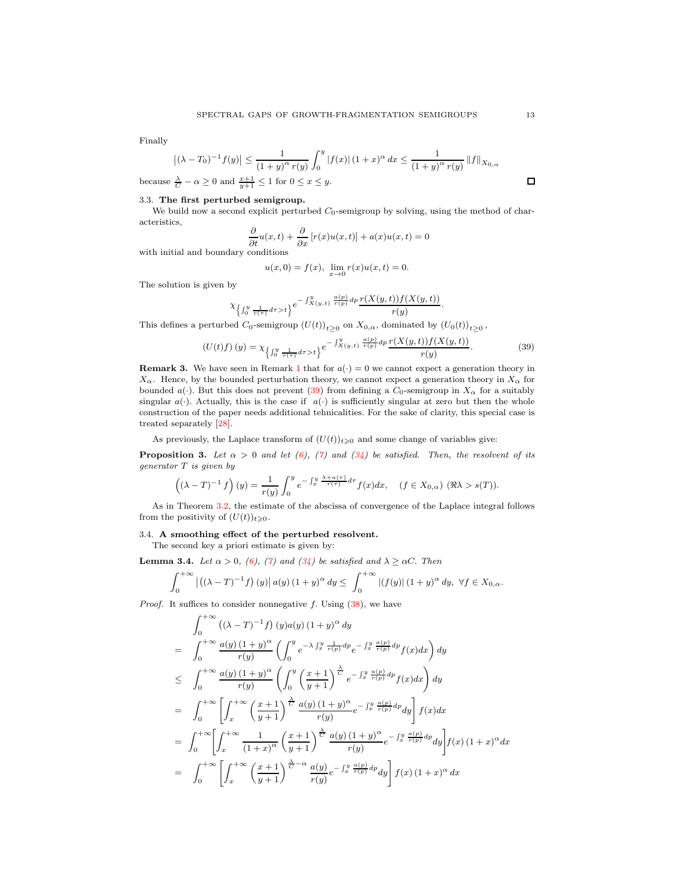Finally

$$
\left| (\lambda - T_0)^{-1} f(y) \right| \le \frac{1}{(1+y)^\alpha r(y)} \int_0^y \left| f(x) \right| (1+x)^\alpha dx \le \frac{1}{(1+y)^\alpha r(y)} \left\| f \right\|_{X_{0,\alpha}}
$$
  
because  $\frac{\lambda}{C} - \alpha \ge 0$  and  $\frac{x+1}{y+1} \le 1$  for  $0 \le x \le y$ .

<span id="page-12-0"></span>3.3. The first perturbed semigroup.

We build now a second explicit perturbed  $C_0$ -semigroup by solving, using the method of characteristics,

$$
\frac{\partial}{\partial t}u(x,t) + \frac{\partial}{\partial x}[r(x)u(x,t)] + a(x)u(x,t) = 0
$$

with initial and boundary conditions

$$
u(x, 0) = f(x), \lim_{x \to 0} r(x)u(x,t) = 0.
$$

The solution is given by

$$
\chi_{\left\{\int_0^y \frac{1}{r(\tau)} d\tau>t\right\}} e^{-\int_{X(y,t)}^y \frac{a(p)}{r(p)} dp} \frac{r(X(y,t))f(X(y,t))}{r(y)}.
$$

This defines a perturbed  $C_0$ -semigroup  $(U(t))_{t\geq 0}$  on  $X_{0,\alpha}$ , dominated by  $(U_0(t))_{t\geq 0}$ ,

<span id="page-12-3"></span>
$$
\left(U(t)f\right)(y) = \chi_{\left\{\int_0^y \frac{1}{r(\tau)} d\tau > t\right\}} e^{-\int_{X(y,t)}^y \frac{a(p)}{r(p)} dp} \frac{r(X(y,t))f(X(y,t))}{r(y)}.
$$
\n(39)

<span id="page-12-2"></span>**Remark 3.** We have seen in Remark [1](#page-11-1) that for  $a(\cdot) = 0$  we cannot expect a generation theory in  $X_{\alpha}$ . Hence, by the bounded perturbation theory, we cannot expect a generation theory in  $X_{\alpha}$  for bounded a(·). But this does not prevent [\(39\)](#page-12-3) from defining a  $C_0$ -semigroup in  $X_\alpha$  for a suitably singular  $a(\cdot)$ . Actually, this is the case if  $a(\cdot)$  is sufficiently singular at zero but then the whole construction of the paper needs additional tehnicalities. For the sake of clarity, this special case is treated separately [28].

As previously, the Laplace transform of  $(U(t))_{t\geqslant0}$  and some change of variables give:

**Proposition 3.** Let  $\alpha > 0$  and let [\(6\)](#page-1-9), [\(7\)](#page-1-3) and [\(34\)](#page-9-3) be satisfied. Then, the resolvent of its generator T is given by

$$
((\lambda - T)^{-1} f)(y) = \frac{1}{r(y)} \int_0^y e^{-\int_x^y \frac{\lambda + a(\tau)}{r(\tau)} d\tau} f(x) dx, \quad (f \in X_{0,\alpha}) \quad (\Re \lambda > s(T)).
$$

As in Theorem [3.2,](#page-11-2) the estimate of the abscissa of convergence of the Laplace integral follows from the positivity of  $(U(t))_{t\geqslant0}$ .

### <span id="page-12-1"></span>3.4. A smoothing effect of the perturbed resolvent.

The second key a priori estimate is given by:

<span id="page-12-4"></span>**Lemma 3.4.** Let  $\alpha > 0$ , [\(6\)](#page-1-9), [\(7\)](#page-1-3) and [\(34\)](#page-9-3) be satisfied and  $\lambda \geq \alpha C$ . Then

$$
\int_0^{+\infty} |((\lambda - T)^{-1} f) (y)| a(y) (1 + y)^{\alpha} dy \le \int_0^{+\infty} |(f(y)| (1 + y)^{\alpha} dy, \ \forall f \in X_{0,\alpha}.
$$

*Proof.* It suffices to consider nonnegative f. Using  $(38)$ , we have

$$
\int_{0}^{+\infty} ((\lambda - T)^{-1} f) (y) a(y) (1 + y)^{\alpha} dy
$$
\n
$$
= \int_{0}^{+\infty} \frac{a(y) (1 + y)^{\alpha}}{r(y)} \left( \int_{0}^{y} e^{-\lambda \int_{x}^{y} \frac{1}{r(p)} dp} e^{-\int_{x}^{y} \frac{a(p)}{r(p)} dp} f(x) dx \right) dy
$$
\n
$$
\leq \int_{0}^{+\infty} \frac{a(y) (1 + y)^{\alpha}}{r(y)} \left( \int_{0}^{y} \left( \frac{x + 1}{y + 1} \right)^{\frac{\lambda}{C}} e^{-\int_{x}^{y} \frac{a(p)}{r(p)} dp} f(x) dx \right) dy
$$
\n
$$
= \int_{0}^{+\infty} \left[ \int_{x}^{+\infty} \left( \frac{x + 1}{y + 1} \right)^{\frac{\lambda}{C}} \frac{a(y) (1 + y)^{\alpha}}{r(y)} e^{-\int_{x}^{y} \frac{a(p)}{r(p)} dp} dy \right] f(x) dx
$$
\n
$$
= \int_{0}^{+\infty} \left[ \int_{x}^{+\infty} \frac{1}{(1 + x)^{\alpha}} \left( \frac{x + 1}{y + 1} \right)^{\frac{\lambda}{C}} \frac{a(y) (1 + y)^{\alpha}}{r(y)} e^{-\int_{x}^{y} \frac{a(p)}{r(p)} dp} dy \right] f(x) (1 + x)^{\alpha} dx
$$
\n
$$
= \int_{0}^{+\infty} \left[ \int_{x}^{+\infty} \left( \frac{x + 1}{y + 1} \right)^{\frac{\lambda}{C} - \alpha} \frac{a(y)}{r(y)} e^{-\int_{x}^{y} \frac{a(p)}{r(p)} dp} dy \right] f(x) (1 + x)^{\alpha} dx
$$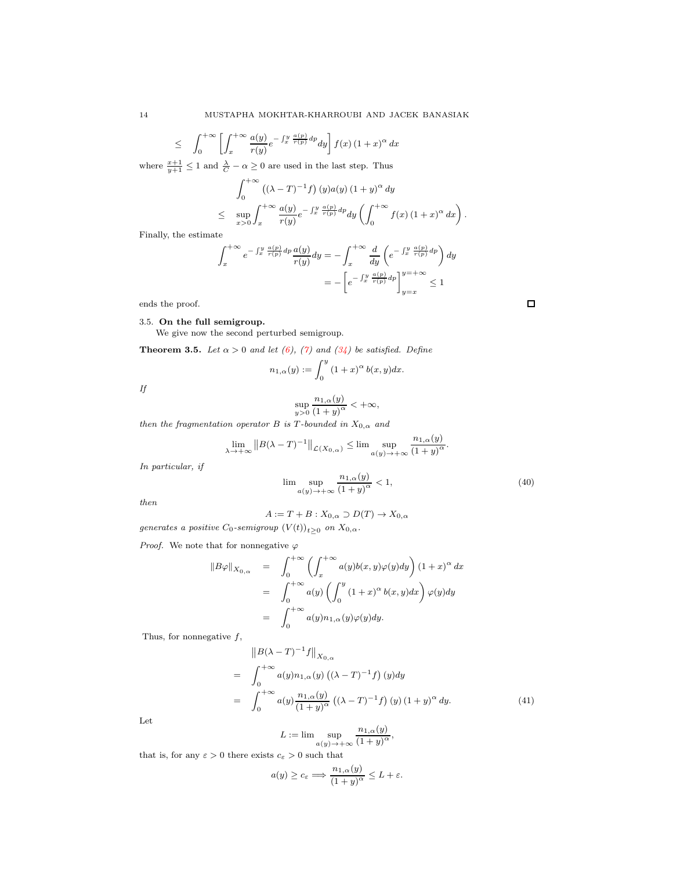$$
\leq \int_0^{+\infty} \left[ \int_x^{+\infty} \frac{a(y)}{r(y)} e^{-\int_x^y \frac{a(p)}{r(p)} dp} dy \right] f(x) (1+x)^\alpha dx
$$

where  $\frac{x+1}{y+1} \leq 1$  and  $\frac{\lambda}{C} - \alpha \geq 0$  are used in the last step. Thus

$$
\int_0^{+\infty} ((\lambda - T)^{-1} f) (y) a(y) (1 + y)^{\alpha} dy
$$
  
\n
$$
\leq \sup_{x>0} \int_x^{+\infty} \frac{a(y)}{r(y)} e^{-\int_x^y \frac{a(p)}{r(p)} dp} dy \left( \int_0^{+\infty} f(x) (1+x)^{\alpha} dx \right).
$$

Finally, the estimate

$$
\int_{x}^{+\infty} e^{-\int_{x}^{y} \frac{a(p)}{r(p)} dp} \frac{a(y)}{r(y)} dy = -\int_{x}^{+\infty} \frac{d}{dy} \left( e^{-\int_{x}^{y} \frac{a(p)}{r(p)} dp} \right) dy
$$

$$
= -\left[ e^{-\int_{x}^{y} \frac{a(p)}{r(p)} dp} \right]_{y=x}^{y=+\infty} \le 1
$$

ends the proof.

# <span id="page-13-0"></span>3.5. On the full semigroup.

We give now the second perturbed semigroup.

<span id="page-13-3"></span>**Theorem 3.5.** Let  $\alpha > 0$  and let [\(6\)](#page-1-9), [\(7\)](#page-1-3) and [\(34\)](#page-9-3) be satisfied. Define

$$
n_{1,\alpha}(y) := \int_0^y (1+x)^{\alpha} b(x,y) dx.
$$

If

$$
\sup_{y>0} \frac{n_{1,\alpha}(y)}{(1+y)^{\alpha}} < +\infty,
$$

then the fragmentation operator B is T-bounded in  $X_{0,\alpha}$  and

$$
\lim_{\lambda \to +\infty} ||B(\lambda - T)^{-1}||_{\mathcal{L}(X_{0,\alpha})} \leq \lim \sup_{a(y) \to +\infty} \frac{n_{1,\alpha}(y)}{(1+y)^{\alpha}}.
$$

In particular, if

<span id="page-13-2"></span>
$$
\lim_{a(y)\to+\infty} \frac{n_{1,\alpha}(y)}{(1+y)^{\alpha}} < 1,
$$
\n(40)

then

$$
A := T + B : X_{0,\alpha} \supset D(T) \to X_{0,\alpha}
$$

generates a positive  $C_0$ -semigroup  $(V(t))_{t\geq 0}$  on  $X_{0,\alpha}$ .

*Proof.* We note that for nonnegative  $\varphi$ 

$$
\begin{array}{rcl}\n||B\varphi||_{X_{0,\alpha}} & = & \displaystyle\int_0^{+\infty}\left(\int_x^{+\infty}a(y)b(x,y)\varphi(y)dy\right)(1+x)^\alpha\,dx \\
& = & \displaystyle\int_0^{+\infty}a(y)\left(\int_0^y(1+x)^\alpha\,b(x,y)dx\right)\varphi(y)dy \\
& = & \displaystyle\int_0^{+\infty}a(y)n_{1,\alpha}(y)\varphi(y)dy.\n\end{array}
$$

Thus, for nonnegative  $f$ ,

<span id="page-13-1"></span>
$$
\|B(\lambda - T)^{-1}f\|_{X_{0,\alpha}}
$$
\n
$$
= \int_0^{+\infty} a(y)n_{1,\alpha}(y) \left((\lambda - T)^{-1}f\right)(y)dy
$$
\n
$$
= \int_0^{+\infty} a(y)\frac{n_{1,\alpha}(y)}{(1+y)^{\alpha}} \left((\lambda - T)^{-1}f\right)(y) \left(1+y\right)^{\alpha} dy. \tag{41}
$$

Let

$$
L := \lim \sup_{a(y) \to +\infty} \frac{n_{1,\alpha}(y)}{(1+y)^{\alpha}},
$$

that is, for any  $\varepsilon > 0$  there exists  $c_{\varepsilon} > 0$  such that

$$
a(y) \ge c_{\varepsilon} \Longrightarrow \frac{n_{1,\alpha}(y)}{(1+y)^{\alpha}} \le L + \varepsilon.
$$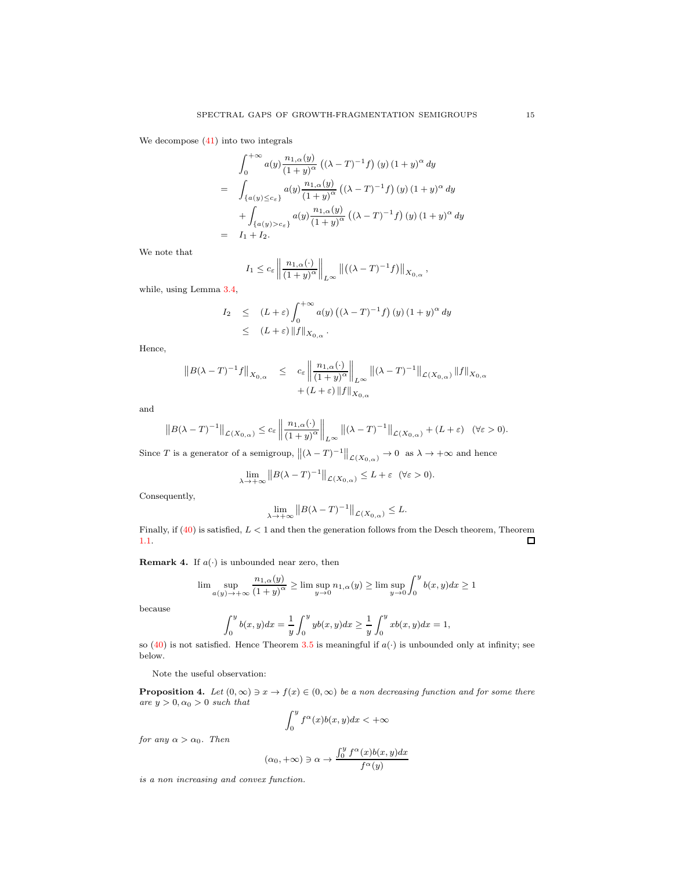We decompose [\(41\)](#page-13-1) into two integrals

$$
\int_0^{+\infty} a(y) \frac{n_{1,\alpha}(y)}{(1+y)^{\alpha}} \left( (\lambda - T)^{-1} f \right)(y) (1+y)^{\alpha} dy
$$
  
= 
$$
\int_{\{a(y) \le c_{\varepsilon}\}} a(y) \frac{n_{1,\alpha}(y)}{(1+y)^{\alpha}} \left( (\lambda - T)^{-1} f \right)(y) (1+y)^{\alpha} dy
$$
  
+ 
$$
\int_{\{a(y) > c_{\varepsilon}\}} a(y) \frac{n_{1,\alpha}(y)}{(1+y)^{\alpha}} \left( (\lambda - T)^{-1} f \right)(y) (1+y)^{\alpha} dy
$$
  
= 
$$
I_1 + I_2.
$$

We note that

$$
I_1 \leq c_{\varepsilon} \left\| \frac{n_{1,\alpha}(\cdot)}{(1+y)^\alpha} \right\|_{L^\infty} \left\| \left( (\lambda - T)^{-1} f \right) \right\|_{X_{0,\alpha}},
$$

while, using Lemma [3.4,](#page-12-4)

$$
I_2 \leq (L+\varepsilon) \int_0^{+\infty} a(y) \left( (\lambda - T)^{-1} f \right) (y) \left( 1 + y \right)^\alpha dy
$$
  
 
$$
\leq (L+\varepsilon) \| f \|_{X_{0,\alpha}}.
$$

Hence,

$$
||B(\lambda-T)^{-1}f||_{X_{0,\alpha}} \leq c_{\varepsilon} \left\|\frac{n_{1,\alpha}(\cdot)}{(1+y)^{\alpha}}\right\|_{L^{\infty}} ||(\lambda-T)^{-1}||_{\mathcal{L}(X_{0,\alpha})} ||f||_{X_{0,\alpha}}
$$
  
 
$$
+ (L+\varepsilon) ||f||_{X_{0,\alpha}}
$$

and

$$
||B(\lambda - T)^{-1}||_{\mathcal{L}(X_{0,\alpha})} \leq c_{\varepsilon} \left\|\frac{n_{1,\alpha}(\cdot)}{(1+y)^{\alpha}}\right\|_{L^{\infty}} ||(\lambda - T)^{-1}||_{\mathcal{L}(X_{0,\alpha})} + (L + \varepsilon) \quad (\forall \varepsilon > 0).
$$

Since T is a generator of a semigroup,  $\|(\lambda - T)^{-1}\|_{\mathcal{L}(X_{0,\alpha})} \to 0$  as  $\lambda \to +\infty$  and hence

$$
\lim_{\lambda \to +\infty} \|B(\lambda - T)^{-1}\|_{\mathcal{L}(X_{0,\alpha})} \le L + \varepsilon \quad (\forall \varepsilon > 0).
$$

Consequently,

$$
\lim_{\lambda \to +\infty} \|B(\lambda - T)^{-1}\|_{\mathcal{L}(X_{0,\alpha})} \le L.
$$

Finally, if  $(40)$  is satisfied,  $L < 1$  and then the generation follows from the Desch theorem, Theorem [1.1.](#page-4-4)  $\Box$ 

**Remark 4.** If  $a(\cdot)$  is unbounded near zero, then

$$
\limsup_{a(y)\to+\infty} \frac{n_{1,\alpha}(y)}{(1+y)^{\alpha}} \ge \limsup_{y\to 0} n_{1,\alpha}(y) \ge \limsup_{y\to 0} \int_0^y b(x,y)dx \ge 1
$$

because

$$
\int_0^y b(x, y) dx = \frac{1}{y} \int_0^y y b(x, y) dx \ge \frac{1}{y} \int_0^y x b(x, y) dx = 1,
$$

so [\(40\)](#page-13-2) is not satisfied. Hence Theorem [3.5](#page-13-3) is meaningful if  $a(\cdot)$  is unbounded only at infinity; see below.

Note the useful observation:

<span id="page-14-0"></span>**Proposition 4.** Let  $(0, \infty) \ni x \to f(x) \in (0, \infty)$  be a non decreasing function and for some there are  $y > 0, \alpha_0 > 0$  such that

$$
\int_0^y f^\alpha(x)b(x,y)dx < +\infty
$$

for any  $\alpha > \alpha_0$ . Then

$$
(\alpha_0, +\infty) \ni \alpha \to \frac{\int_0^y f^\alpha(x) b(x, y) dx}{f^\alpha(y)}
$$

is a non increasing and convex function.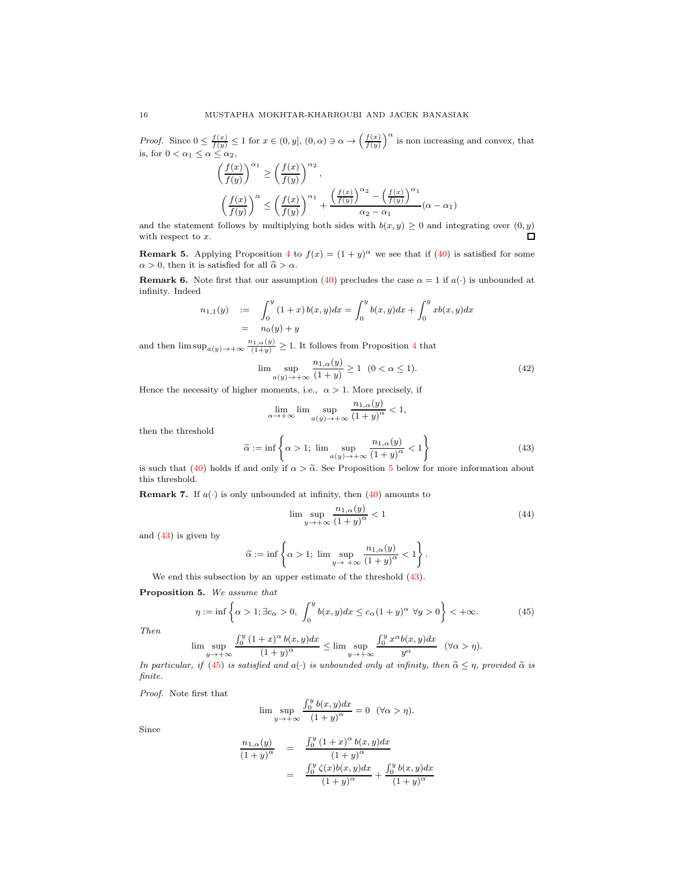*Proof.* Since  $0 \le \frac{f(x)}{f(y)} \le 1$  for  $x \in (0, y]$ ,  $(0, \alpha) \ni \alpha \to \left(\frac{f(x)}{f(y)}\right)^{\alpha}$  is non increasing and convex, that is, for  $0 < \alpha_1 \leq \alpha \leq \alpha_2$ ,

$$
\left(\frac{f(x)}{f(y)}\right)^{\alpha_1} \ge \left(\frac{f(x)}{f(y)}\right)^{\alpha_2},
$$
\n
$$
\left(\frac{f(x)}{f(y)}\right)^{\alpha} \le \left(\frac{f(x)}{f(y)}\right)^{\alpha_1} + \frac{\left(\frac{f(x)}{f(y)}\right)^{\alpha_2} - \left(\frac{f(x)}{f(y)}\right)^{\alpha_1}}{\alpha_2 - \alpha_1}(\alpha - \alpha_1)
$$

and the statement follows by multiplying both sides with  $b(x, y) \geq 0$  and integrating over  $(0, y)$  $\Box$ with respect to x.

**Remark 5.** Applying Proposition [4](#page-14-0) to  $f(x) = (1 + y)^{\alpha}$  we see that if [\(40\)](#page-13-2) is satisfied for some  $\alpha > 0$ , then it is satisfied for all  $\widehat{\alpha} > \alpha$ .

**Remark 6.** Note first that our assumption [\(40\)](#page-13-2) precludes the case  $\alpha = 1$  if  $a(\cdot)$  is unbounded at infinity. Indeed

$$
n_{1,1}(y) := \int_0^y (1+x) b(x,y) dx = \int_0^y b(x,y) dx + \int_0^y x b(x,y) dx
$$
  
=  $n_0(y) + y$ 

and then  $\limsup_{a(y)\to+\infty}\frac{n_{1,\alpha}(y)}{(1+y)}\geq 1$ . It follows from Proposition [4](#page-14-0) that

$$
\lim_{\alpha(y)\to+\infty} \frac{n_{1,\alpha}(y)}{(1+y)} \ge 1 \quad (0<\alpha\le 1). \tag{42}
$$

Hence the necessity of higher moments, i.e.,  $\alpha > 1$ . More precisely, if

$$
\lim_{\alpha \to +\infty} \lim \sup_{a(y) \to +\infty} \frac{n_{1,\alpha}(y)}{(1+y)^{\alpha}} < 1,
$$

then the threshold

<span id="page-15-1"></span>
$$
\tilde{\alpha} := \inf \left\{ \alpha > 1; \lim \sup_{a(y) \to +\infty} \frac{n_{1,\alpha}(y)}{(1+y)^{\alpha}} < 1 \right\}
$$
\n(43)

is such that [\(40\)](#page-13-2) holds if and only if  $\alpha > \tilde{\alpha}$ . See Proposition [5](#page-15-0) below for more information about this threshold.

**Remark 7.** If  $a(\cdot)$  is only unbounded at infinity, then [\(40\)](#page-13-2) amounts to

<span id="page-15-3"></span>
$$
\limsup_{y \to +\infty} \frac{n_{1,\alpha}(y)}{(1+y)^{\alpha}} < 1 \tag{44}
$$

and [\(43\)](#page-15-1) is given by

$$
\widetilde{\alpha} := \inf \left\{ \alpha > 1; \limsup_{y \to +\infty} \frac{n_{1,\alpha}(y)}{\left(1+y\right)^{\alpha}} < 1 \right\}.
$$

We end this subsection by an upper estimate of the threshold [\(43\)](#page-15-1).

<span id="page-15-0"></span>Proposition 5. We assume that

<span id="page-15-2"></span>
$$
\eta := \inf \left\{ \alpha > 1; \exists c_{\alpha} > 0, \int_{0}^{y} b(x, y) dx \le c_{\alpha} (1 + y)^{\alpha} \ \forall y > 0 \right\} < +\infty. \tag{45}
$$

Then

$$
\limsup_{y \to +\infty} \frac{\int_0^y (1+x)^\alpha b(x,y) dx}{(1+y)^\alpha} \le \limsup_{y \to +\infty} \frac{\int_0^y x^\alpha b(x,y) dx}{y^\alpha} \quad (\forall \alpha > \eta).
$$

In particular, if [\(45\)](#page-15-2) is satisfied and  $a(\cdot)$  is unbounded only at infinity, then  $\tilde{\alpha} \leq \eta$ , provided  $\tilde{\alpha}$  is finite.

Proof. Note first that

$$
\lim \sup_{y \to +\infty} \frac{\int_0^y b(x,y) dx}{(1+y)^\alpha} = 0 \quad (\forall \alpha > \eta).
$$

Since

$$
\frac{n_{1,\alpha}(y)}{(1+y)^{\alpha}} = \frac{\int_0^y (1+x)^{\alpha} b(x,y) dx}{(1+y)^{\alpha}}
$$

$$
= \frac{\int_0^y \zeta(x)b(x,y) dx}{(1+y)^{\alpha}} + \frac{\int_0^y b(x,y) dx}{(1+y)^{\alpha}}
$$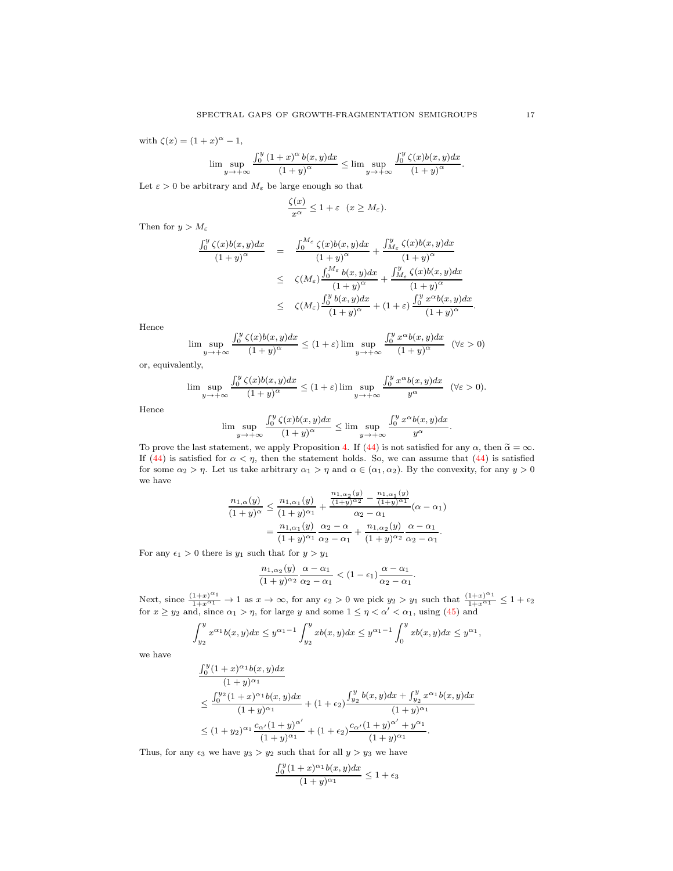with  $\zeta(x) = (1+x)^{\alpha} - 1$ ,

$$
\limsup_{y \to +\infty} \frac{\int_0^y (1+x)^\alpha b(x,y) dx}{(1+y)^\alpha} \le \limsup_{y \to +\infty} \frac{\int_0^y \zeta(x)b(x,y) dx}{(1+y)^\alpha}.
$$

Let  $\varepsilon > 0$  be arbitrary and  $M_{\varepsilon}$  be large enough so that

$$
\frac{\zeta(x)}{x^{\alpha}} \le 1 + \varepsilon \quad (x \ge M_{\varepsilon}).
$$

Then for  $y > M_{\varepsilon}$ 

$$
\frac{\int_0^y \zeta(x)b(x,y)dx}{(1+y)^\alpha} = \frac{\int_0^{M_\varepsilon} \zeta(x)b(x,y)dx}{(1+y)^\alpha} + \frac{\int_{M_\varepsilon}^y \zeta(x)b(x,y)dx}{(1+y)^\alpha}
$$
  

$$
\leq \zeta(M_\varepsilon) \frac{\int_0^{M_\varepsilon} b(x,y)dx}{(1+y)^\alpha} + \frac{\int_{M_\varepsilon}^y \zeta(x)b(x,y)dx}{(1+y)^\alpha}
$$
  

$$
\leq \zeta(M_\varepsilon) \frac{\int_0^y b(x,y)dx}{(1+y)^\alpha} + (1+\varepsilon) \frac{\int_0^y x^\alpha b(x,y)dx}{(1+y)^\alpha}.
$$

Hence

$$
\limsup_{y \to +\infty} \frac{\int_0^y \zeta(x)b(x,y)dx}{(1+y)^\alpha} \le (1+\varepsilon) \limsup_{y \to +\infty} \frac{\int_0^y x^\alpha b(x,y)dx}{(1+y)^\alpha} \quad (\forall \varepsilon > 0)
$$

or, equivalently,

$$
\lim \sup_{y \to +\infty} \frac{\int_0^y \zeta(x) b(x, y) dx}{(1 + y)^{\alpha}} \le (1 + \varepsilon) \lim \sup_{y \to +\infty} \frac{\int_0^y x^{\alpha} b(x, y) dx}{y^{\alpha}} \quad (\forall \varepsilon > 0).
$$

Hence

$$
\lim \sup_{y \to +\infty} \frac{\int_0^y \zeta(x) b(x,y) dx}{(1+y)^\alpha} \le \lim \sup_{y \to +\infty} \frac{\int_0^y x^\alpha b(x,y) dx}{y^\alpha}.
$$

To prove the last statement, we apply Proposition [4.](#page-14-0) If [\(44\)](#page-15-3) is not satisfied for any  $\alpha$ , then  $\tilde{\alpha} = \infty$ . If [\(44\)](#page-15-3) is satisfied for  $\alpha < \eta$ , then the statement holds. So, we can assume that (44) is satisfied for some  $\alpha_2 > \eta$ . Let us take arbitrary  $\alpha_1 > \eta$  and  $\alpha \in (\alpha_1, \alpha_2)$ . By the convexity, for any  $y > 0$ we have

$$
\frac{n_{1,\alpha}(y)}{(1+y)^{\alpha}} \leq \frac{n_{1,\alpha_1}(y)}{(1+y)^{\alpha_1}} + \frac{\frac{n_{1,\alpha_2}(y)}{(1+y)^{\alpha_2}} - \frac{n_{1,\alpha_1}(y)}{(1+y)^{\alpha_1}}}{\alpha_2 - \alpha_1} (\alpha - \alpha_1)
$$

$$
= \frac{n_{1,\alpha_1}(y)}{(1+y)^{\alpha_1}} \frac{\alpha_2 - \alpha_1}{\alpha_2 - \alpha_1} + \frac{n_{1,\alpha_2}(y)}{(1+y)^{\alpha_2}} \frac{\alpha - \alpha_1}{\alpha_2 - \alpha_1}.
$$

For any  $\epsilon_1 > 0$  there is  $y_1$  such that for  $y > y_1$ 

$$
\frac{n_{1,\alpha_2}(y)}{(1+y)^{\alpha_2}}\frac{\alpha-\alpha_1}{\alpha_2-\alpha_1} < (1-\epsilon_1)\frac{\alpha-\alpha_1}{\alpha_2-\alpha_1}.
$$

Next, since  $\frac{(1+x)^{\alpha_1}}{1+x^{\alpha_1}} \to 1$  as  $x \to \infty$ , for any  $\epsilon_2 > 0$  we pick  $y_2 > y_1$  such that  $\frac{(1+x)^{\alpha_1}}{1+x^{\alpha_1}} \leq 1+\epsilon_2$ for  $x \ge y_2$  and, since  $\alpha_1 > \eta$ , for large y and some  $1 \le \eta < \alpha' < \alpha_1$ , using [\(45\)](#page-15-2) and

$$
\int_{y_2}^{y} x^{\alpha_1} b(x, y) dx \le y^{\alpha_1 - 1} \int_{y_2}^{y} x b(x, y) dx \le y^{\alpha_1 - 1} \int_{0}^{y} x b(x, y) dx \le y^{\alpha_1},
$$

we have

$$
\frac{\int_0^y (1+x)^{\alpha_1} b(x,y) dx}{(1+y)^{\alpha_1}}\n\leq \frac{\int_0^{y_2} (1+x)^{\alpha_1} b(x,y) dx}{(1+y)^{\alpha_1}} + (1+\epsilon_2) \frac{\int_{y_2}^y b(x,y) dx + \int_{y_2}^y x^{\alpha_1} b(x,y) dx}{(1+y)^{\alpha_1}}\n\leq (1+y_2)^{\alpha_1} \frac{c_{\alpha'}(1+y)^{\alpha'}}{(1+y)^{\alpha_1}} + (1+\epsilon_2) \frac{c_{\alpha'}(1+y)^{\alpha'} + y^{\alpha_1}}{(1+y)^{\alpha_1}}.
$$

Thus, for any  $\epsilon_3$  we have  $y_3 > y_2$  such that for all  $y > y_3$  we have

$$
\frac{\int_0^y (1+x)^{\alpha_1} b(x,y) dx}{(1+y)^{\alpha_1}} \le 1 + \epsilon_3
$$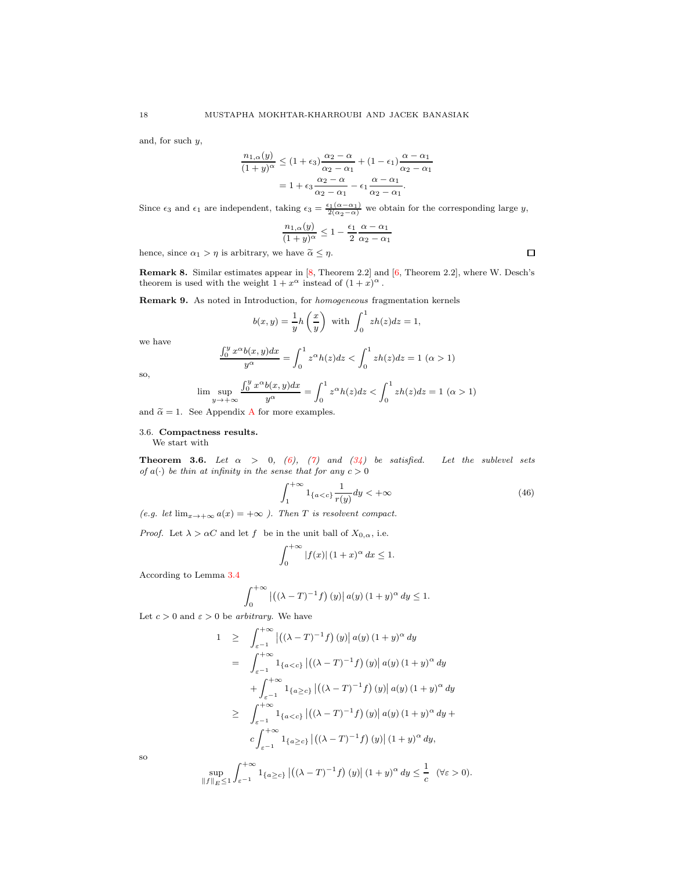and, for such y,

$$
\frac{n_{1,\alpha}(y)}{(1+y)^{\alpha}} \le (1+\epsilon_3) \frac{\alpha_2 - \alpha}{\alpha_2 - \alpha_1} + (1-\epsilon_1) \frac{\alpha - \alpha_1}{\alpha_2 - \alpha_1}
$$

$$
= 1 + \epsilon_3 \frac{\alpha_2 - \alpha}{\alpha_2 - \alpha_1} - \epsilon_1 \frac{\alpha - \alpha_1}{\alpha_2 - \alpha_1}.
$$

Since  $\epsilon_3$  and  $\epsilon_1$  are independent, taking  $\epsilon_3 = \frac{\epsilon_1(\alpha - \alpha_1)}{2(\alpha_2 - \alpha)}$  we obtain for the corresponding large y,

$$
\frac{n_{1,\alpha}(y)}{(1+y)^{\alpha}} \le 1 - \frac{\epsilon_1}{2} \frac{\alpha - \alpha_1}{\alpha_2 - \alpha_1}
$$

hence, since  $\alpha_1 > \eta$  is arbitrary, we have  $\tilde{\alpha} \leq \eta$ .

Remark 8. Similar estimates appear in [\[8,](#page-30-19) Theorem 2.2] and [\[6,](#page-30-1) Theorem 2.2], where W. Desch's theorem is used with the weight  $1 + x^{\alpha}$  instead of  $(1 + x)^{\alpha}$ .

Remark 9. As noted in Introduction, for homogeneous fragmentation kernels

$$
b(x,y) = \frac{1}{y}h\left(\frac{x}{y}\right)
$$
 with  $\int_0^1 zh(z)dz = 1$ ,

we have

$$
\frac{\int_0^y x^{\alpha} b(x, y) dx}{y^{\alpha}} = \int_0^1 z^{\alpha} h(z) dz < \int_0^1 z h(z) dz = 1 \ (\alpha > 1)
$$

so,

$$
\lim \sup_{y \to +\infty} \frac{\int_0^y x^\alpha b(x,y) dx}{y^\alpha} = \int_0^1 z^\alpha h(z) dz < \int_0^1 z h(z) dz = 1 \ (\alpha > 1)
$$

and  $\tilde{\alpha} = 1$ . See [A](#page-28-3)ppendix A for more examples.

## <span id="page-17-0"></span>3.6. Compactness results.

We start with

<span id="page-17-2"></span>**Theorem 3.6.** Let  $\alpha$  > 0, [\(6\)](#page-1-9), [\(7\)](#page-1-3) and [\(34\)](#page-9-3) be satisfied. Let the sublevel sets of  $a(\cdot)$  be thin at infinity in the sense that for any  $c > 0$ 

<span id="page-17-1"></span>
$$
\int_{1}^{+\infty} 1_{\{a (46)
$$

(e.g. let  $\lim_{x\to+\infty}a(x)=+\infty$ ). Then T is resolvent compact.

*Proof.* Let  $\lambda > \alpha C$  and let f be in the unit ball of  $X_{0,\alpha}$ , i.e.

$$
\int_0^{+\infty} |f(x)| (1+x)^\alpha dx \le 1.
$$

According to Lemma [3.4](#page-12-4)

$$
\int_0^{+\infty} |((\lambda - T)^{-1} f) (y)| a(y) (1 + y)^{\alpha} dy \le 1.
$$

Let  $c > 0$  and  $\varepsilon > 0$  be arbitrary. We have

$$
1 \geq \int_{\varepsilon^{-1}}^{+\infty} |((\lambda - T)^{-1}f)(y)| a(y) (1 + y)^{\alpha} dy
$$
  
\n
$$
= \int_{\varepsilon^{-1}}^{+\infty} 1_{\{a < c\}} |((\lambda - T)^{-1}f)(y)| a(y) (1 + y)^{\alpha} dy
$$
  
\n
$$
+ \int_{\varepsilon^{-1}}^{+\infty} 1_{\{a \geq c\}} |((\lambda - T)^{-1}f)(y)| a(y) (1 + y)^{\alpha} dy
$$
  
\n
$$
\geq \int_{\varepsilon^{-1}}^{+\infty} 1_{\{a < c\}} |((\lambda - T)^{-1}f)(y)| a(y) (1 + y)^{\alpha} dy + c \int_{\varepsilon^{-1}}^{+\infty} 1_{\{a \geq c\}} |((\lambda - T)^{-1}f)(y)| (1 + y)^{\alpha} dy,
$$
  
\n
$$
\sup_{\|f\|_{E} \leq 1} \int_{\varepsilon^{-1}}^{+\infty} 1_{\{a \geq c\}} |((\lambda - T)^{-1}f)(y)| (1 + y)^{\alpha} dy \leq \frac{1}{c} \quad (\forall \varepsilon > 0).
$$

so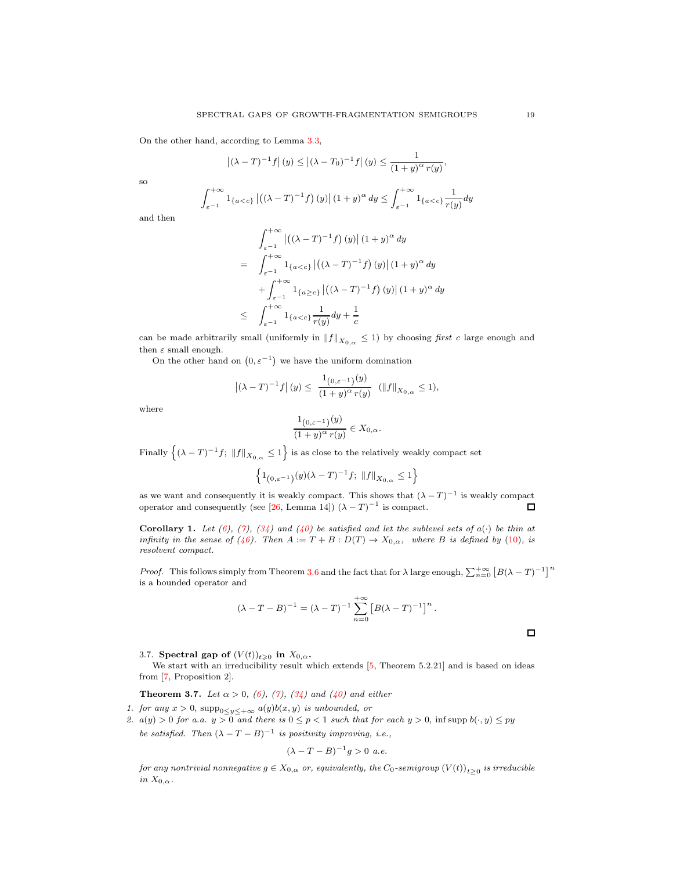On the other hand, according to Lemma [3.3,](#page-11-4)

$$
\left| (\lambda - T)^{-1} f \right|(y) \le \left| (\lambda - T_0)^{-1} f \right|(y) \le \frac{1}{\left(1 + y\right)^{\alpha} r(y)},
$$

so

$$
\int_{\varepsilon^{-1}}^{+\infty} 1_{\{a
$$

and then

$$
\int_{\varepsilon^{-1}}^{+\infty} \left| \left( (\lambda - T)^{-1} f \right) (y) \right| (1 + y)^{\alpha} dy
$$
\n
$$
= \int_{\varepsilon^{-1}}^{+\infty} 1_{\{a < c\}} \left| \left( (\lambda - T)^{-1} f \right) (y) \right| (1 + y)^{\alpha} dy
$$
\n
$$
+ \int_{\varepsilon^{-1}}^{+\infty} 1_{\{a \ge c\}} \left| \left( (\lambda - T)^{-1} f \right) (y) \right| (1 + y)^{\alpha} dy
$$
\n
$$
\le \int_{\varepsilon^{-1}}^{+\infty} 1_{\{a < c\}} \frac{1}{r(y)} dy + \frac{1}{c}
$$

can be made arbitrarily small (uniformly in  $||f||_{X_{0,\alpha}} \leq 1$ ) by choosing first c large enough and then  $\varepsilon$  small enough.

On the other hand on  $(0, \varepsilon^{-1})$  we have the uniform domination

$$
\left| (\lambda - T)^{-1} f \right|(y) \le \frac{1_{\left(0, \varepsilon^{-1}\right)}(y)}{\left(1 + y\right)^{\alpha} r(y)} \quad (\|f\|_{X_{0,\alpha}} \le 1),
$$

where

$$
\frac{1_{(0,\varepsilon^{-1})}(y)}{(1+y)^\alpha r(y)} \in X_{0,\alpha}.
$$

Finally  $\left\{ (\lambda - T)^{-1} f; ||f||_{X_{0,\alpha}} \leq 1 \right\}$  is as close to the relatively weakly compact set

$$
\Big\{1_{\big(0,\varepsilon^{-1}\big)}(y)(\lambda-T)^{-1}f; \,\,\|f\|_{X_{0,\alpha}}\leq 1\Big\}
$$

as we want and consequently it is weakly compact. This shows that  $(\lambda - T)^{-1}$  is weakly compact operator and consequently (see [\[26,](#page-31-1) Lemma 14])  $(\lambda - T)^{-1}$  is compact.  $\Box$ 

<span id="page-18-2"></span>**Corollary 1.** Let [\(6\)](#page-1-9), [\(7\)](#page-1-3), [\(34\)](#page-9-3) and [\(40\)](#page-13-2) be satisfied and let the sublevel sets of  $a(\cdot)$  be thin at infinity in the sense of [\(46\)](#page-17-1). Then  $A := T + B : D(T) \to X_{0,\alpha}$ , where B is defined by [\(10\)](#page-3-1), is resolvent compact.

*Proof.* This follows simply from Theorem [3.6](#page-17-2) and the fact that for  $\lambda$  large enough,  $\sum_{n=0}^{+\infty} [B(\lambda - T)^{-1}]^n$ is a bounded operator and

$$
(\lambda - T - B)^{-1} = (\lambda - T)^{-1} \sum_{n=0}^{+\infty} [B(\lambda - T)^{-1}]^{n}.
$$

<span id="page-18-0"></span>3.7. Spectral gap of  $(V(t))_{t\geqslant0}$  in  $X_{0,\alpha}$ .

We start with an irreducibility result which extends [\[5,](#page-30-2) Theorem 5.2.21] and is based on ideas from [\[7,](#page-30-14) Proposition 2].

**Theorem 3.7.** Let  $\alpha > 0$ , [\(6\)](#page-1-9), [\(7\)](#page-1-3), [\(34\)](#page-9-3) and [\(40\)](#page-13-2) and either

- <span id="page-18-1"></span>1. for any  $x > 0$ ,  $\text{supp}_{0 \leq y \leq +\infty} a(y)b(x, y)$  is unbounded, or
- 2.  $a(y) > 0$  for a.a.  $y > 0$  and there is  $0 \le p < 1$  such that for each  $y > 0$ , inf supp  $b(\cdot, y) \le py$ be satisfied. Then  $(\lambda - T - B)^{-1}$  is positivity improving, i.e.,

$$
(\lambda - T - B)^{-1}g > 0 \ a.e.
$$

for any nontrivial nonnegative  $g\in X_{0,\alpha}$  or, equivalently, the  $C_0$ -semigroup  $\left(V(t)\right)_{t\geq 0}$  is irreducible in  $X_{0,\alpha}$ .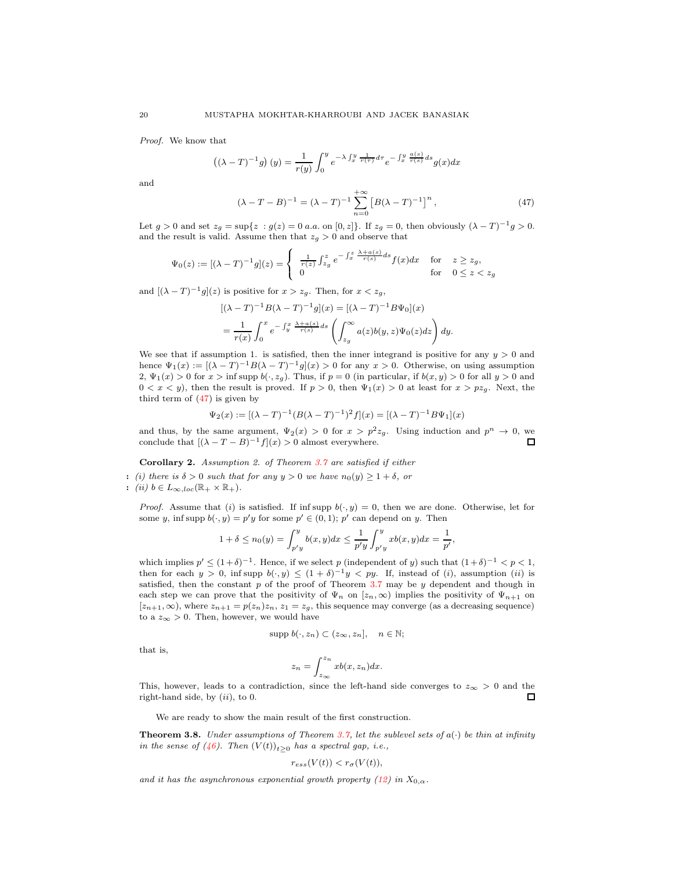Proof. We know that

$$
((\lambda - T)^{-1}g)(y) = \frac{1}{r(y)} \int_0^y e^{-\lambda \int_x^y \frac{1}{r(\tau)} d\tau} e^{-\int_x^y \frac{a(s)}{r(s)} ds} g(x) dx
$$

and

<span id="page-19-1"></span>
$$
(\lambda - T - B)^{-1} = (\lambda - T)^{-1} \sum_{n=0}^{+\infty} [B(\lambda - T)^{-1}]^n,
$$
 (47)

Let  $g > 0$  and set  $z_g = \sup\{z : g(z) = 0$  a.a. on  $[0, z]\}$ . If  $z_g = 0$ , then obviously  $(\lambda - T)^{-1}g > 0$ . and the result is valid. Assume then that  $z_g > 0$  and observe that

$$
\Psi_0(z) := [(\lambda - T)^{-1}g](z) = \begin{cases} \frac{1}{r(z)} \int_{z_g}^z e^{-\int_x^z \frac{\lambda + a(s)}{r(s)} ds} f(x) dx & \text{for} \quad z \ge z_g, \\ 0 & \text{for} \quad 0 \le z < z_g \end{cases}
$$

and  $[(\lambda - T)^{-1}g](z)$  is positive for  $x > z_g$ . Then, for  $x < z_g$ ,

$$
\begin{aligned} & [(\lambda - T)^{-1} B(\lambda - T)^{-1} g](x) = [(\lambda - T)^{-1} B \Psi_0](x) \\ & = \frac{1}{r(x)} \int_0^x e^{-\int_y^x \frac{\lambda + a(s)}{r(s)} ds} \left( \int_{z_g}^\infty a(z) b(y, z) \Psi_0(z) dz \right) dy. \end{aligned}
$$

We see that if assumption 1. is satisfied, then the inner integrand is positive for any  $y > 0$  and hence  $\Psi_1(x) := [(\lambda - T)^{-1}B(\lambda - T)^{-1}g](x) > 0$  for any  $x > 0$ . Otherwise, on using assumption 2,  $\Psi_1(x) > 0$  for  $x > \inf \text{supp } b(\cdot, z_q)$ . Thus, if  $p = 0$  (in particular, if  $b(x, y) > 0$  for all  $y > 0$  and  $0 < x < y$ ), then the result is proved. If  $p > 0$ , then  $\Psi_1(x) > 0$  at least for  $x > pz_g$ . Next, the third term of [\(47\)](#page-19-1) is given by

$$
\Psi_2(x) := [(\lambda - T)^{-1} (B(\lambda - T)^{-1})^2 f](x) = [(\lambda - T)^{-1} B \Psi_1](x)
$$

and thus, by the same argument,  $\Psi_2(x) > 0$  for  $x > p^2 z_g$ . Using induction and  $p^n \to 0$ , we conclude that  $[(\lambda - T - B)^{-1}f](x) > 0$  almost everywhere.  $\Box$ 

Corollary 2. Assumption 2. of Theorem [3.7](#page-18-1) are satisfied if either

: (i) there is  $\delta > 0$  such that for any  $y > 0$  we have  $n_0(y) \geq 1 + \delta$ , or : (ii)  $b \in L_{\infty, loc}(\mathbb{R}_+ \times \mathbb{R}_+).$ 

*Proof.* Assume that (i) is satisfied. If inf supp  $b(\cdot, y) = 0$ , then we are done. Otherwise, let for some y, inf supp  $b(\cdot, y) = p'y$  for some  $p' \in (0, 1)$ ;  $p'$  can depend on y. Then

$$
1 + \delta \le n_0(y) = \int_{p'y}^{y} b(x, y) dx \le \frac{1}{p'y} \int_{p'y}^{y} xb(x, y) dx = \frac{1}{p'},
$$

which implies  $p' \leq (1+\delta)^{-1}$ . Hence, if we select p (independent of y) such that  $(1+\delta)^{-1} < p < 1$ , then for each  $y > 0$ , inf supp  $b(\cdot, y) \leq (1 + \delta)^{-1}y < py$ . If, instead of (i), assumption (ii) is satisfied, then the constant  $p$  of the proof of Theorem [3.7](#page-18-1) may be  $y$  dependent and though in each step we can prove that the positivity of  $\Psi_n$  on  $[z_n,\infty)$  implies the positivity of  $\Psi_{n+1}$  on  $[z_{n+1},\infty)$ , where  $z_{n+1} = p(z_n)z_n$ ,  $z_1 = z_q$ , this sequence may converge (as a decreasing sequence) to a  $z_{\infty} > 0$ . Then, however, we would have

$$
supp b(\cdot, z_n) \subset (z_\infty, z_n], \quad n \in \mathbb{N};
$$

that is,

$$
z_n = \int_{z_{\infty}}^{z_n} x b(x, z_n) dx.
$$

This, however, leads to a contradiction, since the left-hand side converges to  $z_{\infty} > 0$  and the right-hand side, by  $(ii)$ , to 0.  $\Box$ 

We are ready to show the main result of the first construction.

<span id="page-19-0"></span>**Theorem 3.8.** Under assumptions of Theorem [3.7,](#page-18-1) let the sublevel sets of  $a(\cdot)$  be thin at infinity in the sense of [\(46\)](#page-17-1). Then  $(V(t))_{t\geq 0}$  has a spectral gap, i.e.,

$$
r_{ess}(V(t)) < r_{\sigma}(V(t)),
$$

and it has the asynchronous exponential growth property [\(12\)](#page-3-2) in  $X_{0,\alpha}$ .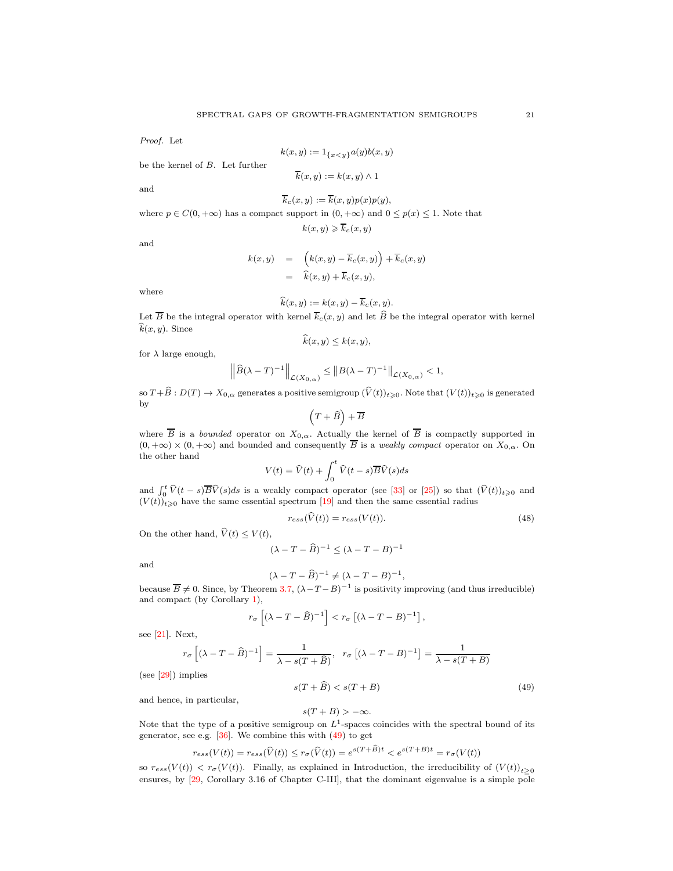Proof. Let

 $k(x, y) := 1_{\{x < y\}} a(y) b(x, y)$ 

 $\overline{k}(x, y) := k(x, y) \wedge 1$ 

be the kernel of B. Let further

and

$$
\overline{k}_c(x,y) := \overline{k}(x,y)p(x)p(y),
$$

where 
$$
p \in C(0, +\infty)
$$
 has a compact support in  $(0, +\infty)$  and  $0 \le p(x) \le 1$ . Note that  

$$
k(x, y) \ge \overline{k}_c(x, y)
$$

and

$$
k(x,y) = (k(x,y) - \overline{k}_c(x,y)) + \overline{k}_c(x,y)
$$
  
=  $\hat{k}(x,y) + \overline{k}_c(x,y),$ 

where

$$
\widehat{k}(x,y) := k(x,y) - \overline{k}_c(x,y).
$$

Let  $\overline{B}$  be the integral operator with kernel  $\overline{k}_c(x, y)$  and let  $\widehat{B}$  be the integral operator with kernel  $\widehat{k}(x, y)$ . Since

$$
k(x, y) \le k(x, y),
$$

for  $\lambda$  large enough,

$$
\left\|\widehat{B}(\lambda-T)^{-1}\right\|_{\mathcal{L}(X_{0,\alpha})} \leq \left\|B(\lambda-T)^{-1}\right\|_{\mathcal{L}(X_{0,\alpha})} < 1,
$$

so  $T + \widehat{B}: D(T) \to X_{0,\alpha}$  generates a positive semigroup  $(\widehat{V}(t))_{t \geq 0}$ . Note that  $(V(t))_{t \geq 0}$  is generated by

$$
(T+\widehat{B})+\overline{B}
$$

where  $\overline{B}$  is a *bounded* operator on  $X_{0,\alpha}$ . Actually the kernel of  $\overline{B}$  is compactly supported in  $(0, +\infty) \times (0, +\infty)$  and bounded and consequently  $\overline{B}$  is a weakly compact operator on  $X_{0,\alpha}$ . On the other hand

$$
V(t) = \widehat{V}(t) + \int_0^t \widehat{V}(t-s)\overline{B}\widehat{V}(s)ds
$$

and  $\int_0^t \hat{V}(t-s)\overline{B}\hat{V}(s)ds$  is a weakly compact operator (see [\[33\]](#page-31-7) or [\[25\]](#page-31-8)) so that  $(\hat{V}(t))_{t\geqslant0}$  and  $(V(t))_{t\geqslant0}$  have the same essential spectrum [\[19\]](#page-30-20) and then the same essential radius

$$
r_{ess}(\dot{V}(t)) = r_{ess}(V(t)).\tag{48}
$$

On the other hand,  $\hat{V}(t) \leq V(t)$ ,

$$
(\lambda - T - \widehat{B})^{-1} \le (\lambda - T - B)^{-1}
$$

and

$$
(\lambda - T - \widehat{B})^{-1} \neq (\lambda - T - B)^{-1},
$$

because  $\overline{B} \neq 0$ . Since, by Theorem [3.7,](#page-18-1)  $(\lambda - T - B)^{-1}$  is positivity improving (and thus irreducible) and compact (by Corollary [1\)](#page-18-2),

$$
r_{\sigma}\left[(\lambda - T - \widehat{B})^{-1}\right] < r_{\sigma}\left[(\lambda - T - B)^{-1}\right],
$$

see [\[21\]](#page-30-18). Next,

$$
r_{\sigma}\left[(\lambda - T - \widehat{B})^{-1}\right] = \frac{1}{\lambda - s(T + \widehat{B})}, \quad r_{\sigma}\left[(\lambda - T - B)^{-1}\right] = \frac{1}{\lambda - s(T + B)}
$$
  
implies

 $(see [29])$ 

<span id="page-20-0"></span>
$$
s(T + \widehat{B}) < s(T + B) \tag{49}
$$

and hence, in particular,

$$
s(T + B) > -\infty.
$$

Note that the type of a positive semigroup on  $L^1$ -spaces coincides with the spectral bound of its generator, see e.g. [\[36\]](#page-31-10). We combine this with [\(49\)](#page-20-0) to get

$$
r_{ess}(V(t)) = r_{ess}(\widehat{V}(t)) \le r_{\sigma}(\widehat{V}(t)) = e^{s(T+\widehat{B})t} < e^{s(T+B)t} = r_{\sigma}(V(t))
$$

so  $r_{ess}(V(t)) < r_{\sigma}(V(t))$ . Finally, as explained in Introduction, the irreducibility of  $(V(t))_{t>0}$ ensures, by [29, Corollary 3.16 of Chapter C-III], that the dominant eigenvalue is a simple pole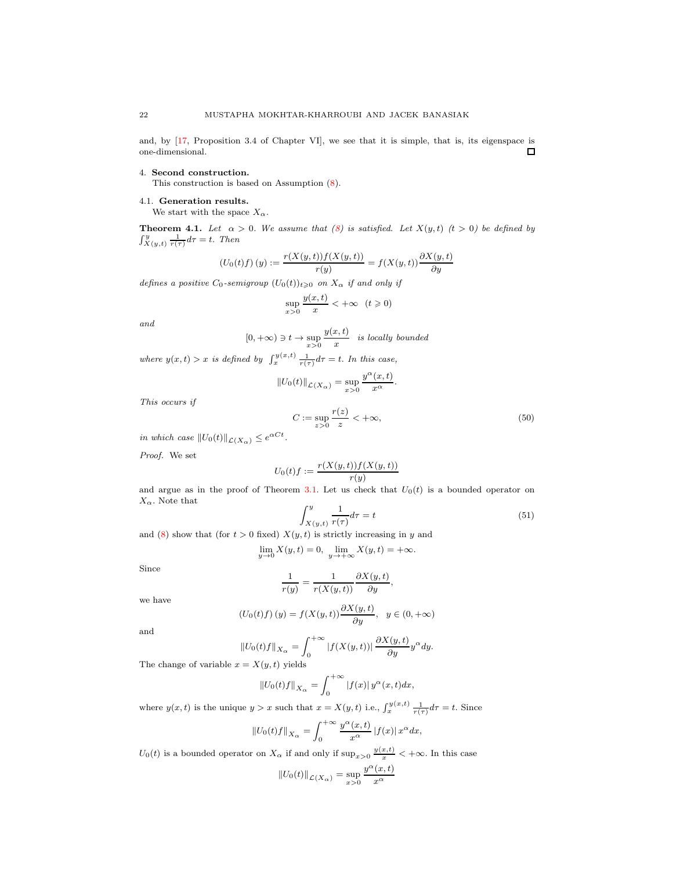and, by [\[17,](#page-30-7) Proposition 3.4 of Chapter VI], we see that it is simple, that is, its eigenspace is one-dimensional.  $\Box$ 

## <span id="page-21-0"></span>4. Second construction.

This construction is based on Assumption [\(8\)](#page-1-2).

## <span id="page-21-1"></span>4.1. Generation results.

We start with the space  $X_{\alpha}$ .

**Theorem 4.1.** Let  $\alpha > 0$ . We assume that [\(8\)](#page-1-2) is satisfied. Let  $X(y, t)$  (t > 0) be defined by  $\int_{X(y,t)}^{y} \frac{1}{r(\tau)} d\tau = t$ . Then

$$
\left(U_0(t)f\right)(y) := \frac{r(X(y,t))f(X(y,t))}{r(y)} = f(X(y,t))\frac{\partial X(y,t)}{\partial y}
$$

defines a positive  $C_0$ -semigroup  $(U_0(t))_{t\geqslant0}$  on  $X_\alpha$  if and only if

$$
\sup_{x>0} \frac{y(x,t)}{x} < +\infty \quad (t \geqslant 0)
$$

and

$$
[0, +\infty) \ni t \to \sup_{x>0} \frac{y(x, t)}{x}
$$
 is locally bounded

where  $y(x,t) > x$  is defined by  $\int_x^{y(x,t)} \frac{1}{r(\tau)} d\tau = t$ . In this case,

$$
||U_0(t)||_{\mathcal{L}(X_{\alpha})} = \sup_{x>0} \frac{y^{\alpha}(x,t)}{x^{\alpha}}
$$

This occurs if

<span id="page-21-3"></span>
$$
C := \sup_{z>0} \frac{r(z)}{z} < +\infty,\tag{50}
$$

.

in which case  $||U_0(t)||_{\mathcal{L}(X_\alpha)} \leq e^{\alpha Ct}$ .

Proof. We set

$$
U_0(t)f := \frac{r(X(y,t))f(X(y,t))}{r(y)}
$$

and argue as in the proof of Theorem [3.1.](#page-9-5) Let us check that  $U_0(t)$  is a bounded operator on  $X_{\alpha}.$  Note that

<span id="page-21-2"></span>
$$
\int_{X(y,t)}^{y} \frac{1}{r(\tau)} d\tau = t \tag{51}
$$

and [\(8\)](#page-1-2) show that (for  $t > 0$  fixed)  $X(y, t)$  is strictly increasing in y and

$$
\lim_{y \to 0} X(y, t) = 0, \quad \lim_{y \to +\infty} X(y, t) = +\infty.
$$

Since

$$
\frac{1}{r(y)} = \frac{1}{r(X(y,t))} \frac{\partial X(y,t)}{\partial y},
$$

we have

$$
(U_0(t)f)(y) = f(X(y,t))\frac{\partial X(y,t)}{\partial y}, \quad y \in (0,+\infty)
$$

and

$$
||U_0(t)f||_{X_{\alpha}} = \int_0^{+\infty} |f(X(y,t))| \frac{\partial X(y,t)}{\partial y} y^{\alpha} dy.
$$

The change of variable  $x = X(y, t)$  yields

$$
||U_0(t)f||_{X_{\alpha}} = \int_0^{+\infty} |f(x)| \, y^{\alpha}(x,t) dx,
$$

where  $y(x,t)$  is the unique  $y > x$  such that  $x = X(y,t)$  i.e.,  $\int_x^{y(x,t)} \frac{1}{r(\tau)} d\tau = t$ . Since

$$
||U_0(t)f||_{X_{\alpha}} = \int_0^{+\infty} \frac{y^{\alpha}(x,t)}{x^{\alpha}} |f(x)| x^{\alpha} dx,
$$

 $U_0(t)$  is a bounded operator on  $X_\alpha$  if and only if  $\sup_{x>0} \frac{y(x,t)}{x} < +\infty$ . In this case

$$
||U_0(t)||_{\mathcal{L}(X_\alpha)} = \sup_{x>0} \frac{y^\alpha(x,t)}{x^\alpha}
$$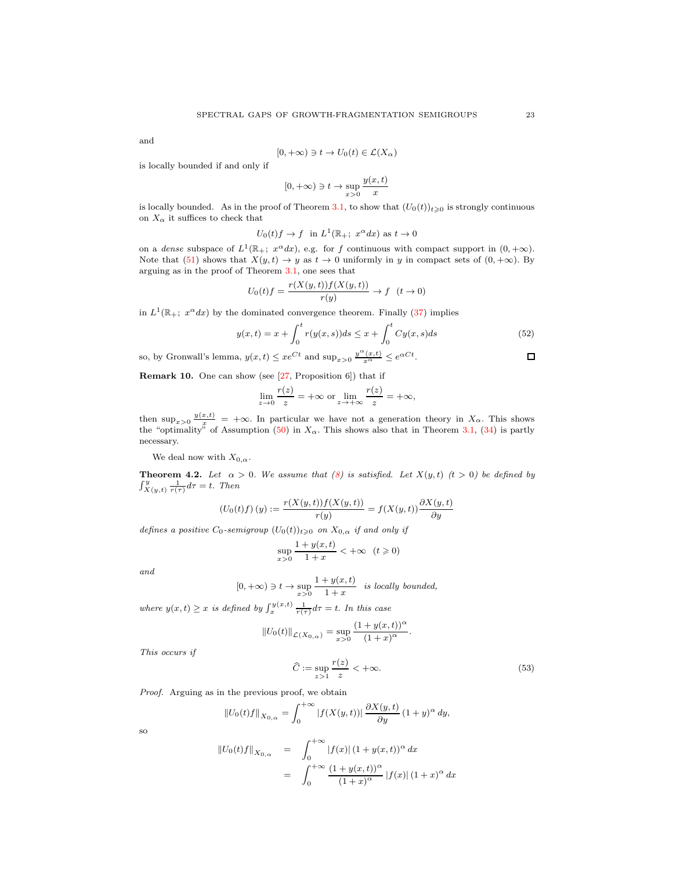and

$$
[0, +\infty) \ni t \to U_0(t) \in \mathcal{L}(X_\alpha)
$$

is locally bounded if and only if

$$
[0, +\infty) \ni t \to \sup_{x>0} \frac{y(x, t)}{x}
$$

is locally bounded. As in the proof of Theorem [3.1,](#page-9-5) to show that  $(U_0(t))_{t\geq0}$  is strongly continuous on  $X_{\alpha}$  it suffices to check that

$$
U_0(t)f \to f
$$
 in  $L^1(\mathbb{R}_+; x^{\alpha}dx)$  as  $t \to 0$ 

on a dense subspace of  $L^1(\mathbb{R}_+; x^{\alpha}dx)$ , e.g. for f continuous with compact support in  $(0, +\infty)$ . Note that [\(51\)](#page-21-2) shows that  $X(y, t) \to y$  as  $t \to 0$  uniformly in y in compact sets of  $(0, +\infty)$ . By arguing as in the proof of Theorem [3.1,](#page-9-5) one sees that

$$
U_0(t)f = \frac{r(X(y,t))f(X(y,t))}{r(y)} \to f \quad (t \to 0)
$$

in  $L^1(\mathbb{R}_+; x^{\alpha}dx)$  by the dominated convergence theorem. Finally [\(37\)](#page-10-0) implies

$$
y(x,t) = x + \int_0^t r(y(x,s))ds \le x + \int_0^t Cy(x,s)ds
$$
 (52)

so, by Gronwall's lemma,  $y(x,t) \leq xe^{Ct}$  and  $\sup_{x>0} \frac{y^{\alpha}(x,t)}{x^{\alpha}} \leq e^{\alpha Ct}$ .

<span id="page-22-0"></span>Remark 10. One can show (see [27, Proposition 6]) that if

$$
\lim_{z \to 0} \frac{r(z)}{z} = +\infty \text{ or } \lim_{z \to +\infty} \frac{r(z)}{z} = +\infty,
$$

then  $\sup_{x>0} \frac{y(x,t)}{x} = +\infty$ . In particular we have not a generation theory in  $X_{\alpha}$ . This shows the "optimality" of Assumption [\(50\)](#page-21-3) in  $X_{\alpha}$ . This shows also that in Theorem [3.1,](#page-9-5) [\(34\)](#page-9-3) is partly necessary.

We deal now with  $X_{0,\alpha}$ .

**Theorem 4.2.** Let  $\alpha > 0$ . We assume that [\(8\)](#page-1-2) is satisfied. Let  $X(y, t)$  (t > 0) be defined by  $\int_{X(y,t)}^{y} \frac{1}{r(\tau)} d\tau = t$ . Then

$$
\left(U_0(t)f\right)(y) := \frac{r(X(y,t))f(X(y,t))}{r(y)} = f(X(y,t))\frac{\partial X(y,t)}{\partial y}
$$

defines a positive  $C_0$ -semigroup  $(U_0(t))_{t\geqslant 0}$  on  $X_{0,\alpha}$  if and only if

$$
\sup_{x>0} \frac{1+y(x,t)}{1+x} < +\infty \quad (t \geqslant 0)
$$

and

$$
[0, +\infty) \ni t \to \sup_{x>0} \frac{1+y(x,t)}{1+x}
$$
 is locally bounded,

where  $y(x,t) \geq x$  is defined by  $\int_x^{y(x,t)} \frac{1}{r(\tau)} d\tau = t$ . In this case

$$
||U_0(t)||_{\mathcal{L}(X_{0,\alpha})} = \sup_{x>0} \frac{(1+y(x,t))^{\alpha}}{(1+x)^{\alpha}}.
$$

This occurs if

<span id="page-22-1"></span>
$$
\widehat{C} := \sup_{z > 1} \frac{r(z)}{z} < +\infty. \tag{53}
$$

Proof. Arguing as in the previous proof, we obtain

$$
||U_0(t)f||_{X_{0,\alpha}} = \int_0^{+\infty} |f(X(y,t))| \, \frac{\partial X(y,t)}{\partial y} \, (1+y)^\alpha \, dy,
$$

so

$$
||U_0(t)f||_{X_{0,\alpha}} = \int_0^{+\infty} |f(x)| (1 + y(x, t))^{\alpha} dx
$$
  
= 
$$
\int_0^{+\infty} \frac{(1 + y(x, t))^{\alpha}}{(1 + x)^{\alpha}} |f(x)| (1 + x)^{\alpha} dx
$$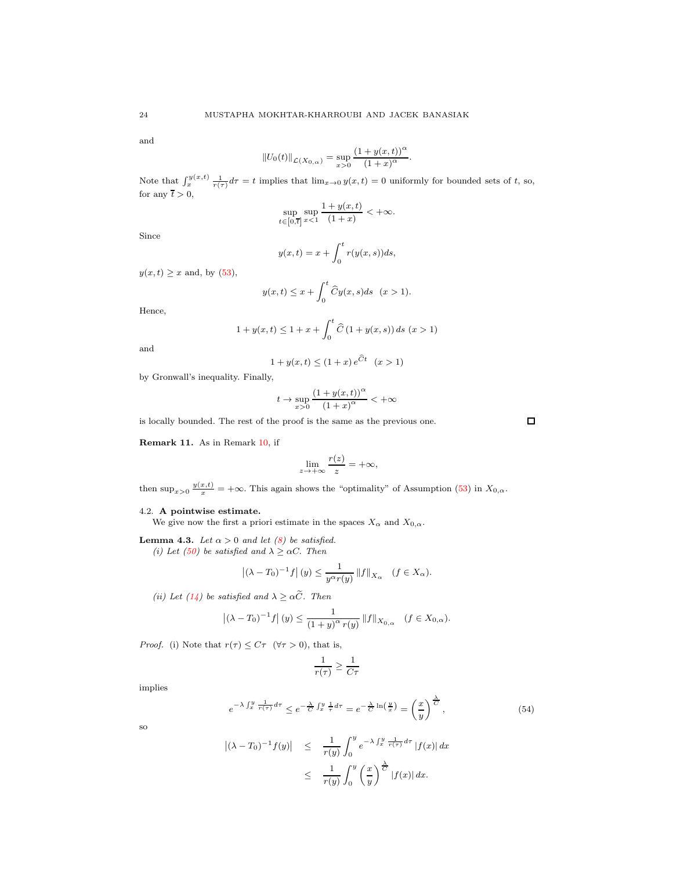and

$$
||U_0(t)||_{\mathcal{L}(X_{0,\alpha})} = \sup_{x>0} \frac{(1+y(x,t))^{\alpha}}{(1+x)^{\alpha}}.
$$

Note that  $\int_x^y f(x,t) \frac{1}{r(\tau)} d\tau = t$  implies that  $\lim_{x\to 0} y(x,t) = 0$  uniformly for bounded sets of t, so, for any  $\bar{t} > 0$ ,

$$
\sup_{t\in\left[0,\overline{t}\right]}\sup_{x<1}\frac{1+y(x,t)}{(1+x)}<+\infty.
$$

Since

$$
y(x,t) = x + \int_0^t r(y(x,s))ds,
$$

 $y(x, t) \geq x$  and, by  $(53)$ ,

$$
y(x,t) \le x + \int_0^t \widehat{C}y(x,s)ds \quad (x > 1).
$$

Hence,

$$
1 + y(x, t) \le 1 + x + \int_0^t \widehat{C} (1 + y(x, s)) ds \ (x > 1)
$$

and

$$
1 + y(x, t) \le (1 + x) e^{\tilde{C}t} \quad (x > 1)
$$

by Gronwall's inequality. Finally,

$$
t \to \sup_{x>0} \frac{(1+y(x,t))^\alpha}{(1+x)^\alpha} < +\infty
$$

is locally bounded. The rest of the proof is the same as the previous one.

Remark 11. As in Remark [10,](#page-22-0) if

$$
\lim_{z \to +\infty} \frac{r(z)}{z} = +\infty,
$$

then sup<sub> $x>0$ </sub>  $\frac{y(x,t)}{x}$  =  $+\infty$ . This again shows the "optimality" of Assumption [\(53\)](#page-22-1) in  $X_{0,\alpha}$ .

# <span id="page-23-0"></span>4.2. A pointwise estimate.

We give now the first a priori estimate in the spaces  $X_{\alpha}$  and  $X_{0,\alpha}$ .

<span id="page-23-2"></span>**Lemma 4.3.** Let  $\alpha > 0$  and let [\(8\)](#page-1-2) be satisfied. (i) Let [\(50\)](#page-21-3) be satisfied and  $\lambda \geq \alpha C$ . Then

$$
\left| (\lambda - T_0)^{-1} f \right|(y) \le \frac{1}{y^{\alpha} r(y)} \left\| f \right\|_{X_{\alpha}} \quad (f \in X_{\alpha}).
$$

(ii) Let [\(14\)](#page-4-3) be satisfied and  $\lambda \geq \alpha \widetilde{C}$ . Then

$$
|(\lambda - T_0)^{-1} f|(y) \le \frac{1}{(1+y)^{\alpha} r(y)} ||f||_{X_{0,\alpha}} \quad (f \in X_{0,\alpha}).
$$

*Proof.* (i) Note that  $r(\tau) \leq C\tau$  ( $\forall \tau > 0$ ), that is,

$$
\frac{1}{r(\tau)} \ge \frac{1}{C\tau}
$$

implies

<span id="page-23-1"></span>
$$
e^{-\lambda \int_x^y \frac{1}{r(\tau)} d\tau} \le e^{-\frac{\lambda}{C} \int_x^y \frac{1}{\tau} d\tau} = e^{-\frac{\lambda}{C} \ln\left(\frac{y}{x}\right)} = \left(\frac{x}{y}\right)^{\frac{\lambda}{C}},\tag{54}
$$

so

$$
\begin{array}{rcl} \left| (\lambda - T_0)^{-1} f(y) \right| & \leq & \frac{1}{r(y)} \int_0^y e^{-\lambda \int_x^y \frac{1}{r(\tau)} d\tau} \left| f(x) \right| dx \\ & \leq & \frac{1}{r(y)} \int_0^y \left( \frac{x}{y} \right)^{\frac{\lambda}{C}} \left| f(x) \right| dx. \end{array}
$$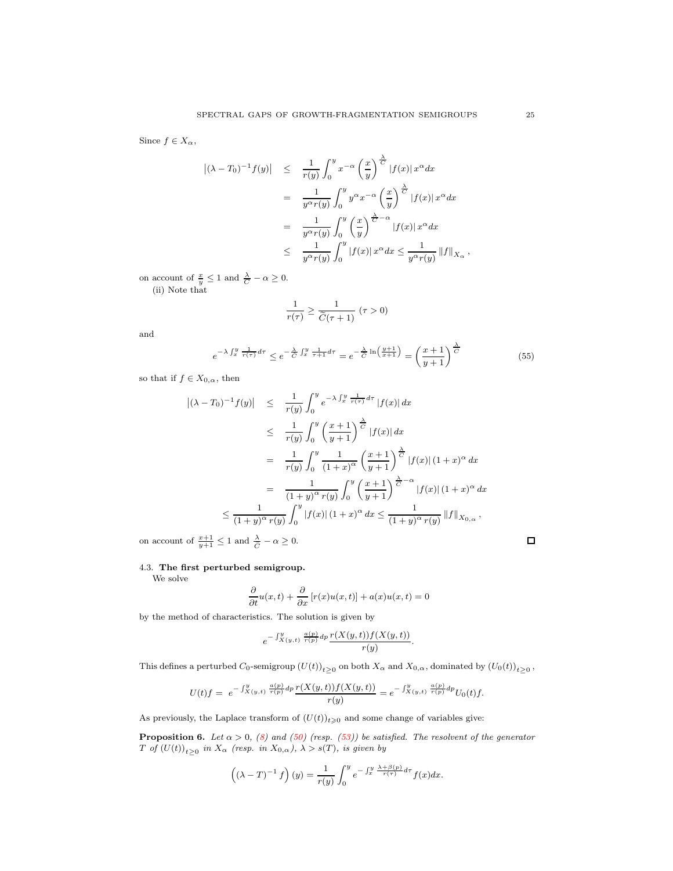Since  $f \in X_\alpha$ ,

$$
\begin{array}{rcl} \left| (\lambda - T_0)^{-1} f(y) \right| & \leq & \frac{1}{r(y)} \int_0^y x^{-\alpha} \left( \frac{x}{y} \right)^{\frac{\lambda}{C}} |f(x)| \, x^{\alpha} dx \\ & = & \frac{1}{y^{\alpha} r(y)} \int_0^y y^{\alpha} x^{-\alpha} \left( \frac{x}{y} \right)^{\frac{\lambda}{C}} |f(x)| \, x^{\alpha} dx \\ & = & \frac{1}{y^{\alpha} r(y)} \int_0^y \left( \frac{x}{y} \right)^{\frac{\lambda}{C} - \alpha} |f(x)| \, x^{\alpha} dx \\ & \leq & \frac{1}{y^{\alpha} r(y)} \int_0^y |f(x)| \, x^{\alpha} dx \leq \frac{1}{y^{\alpha} r(y)} \left\| f \right\|_{X_\alpha} \end{array}
$$

on account of  $\frac{x}{y} \leq 1$  and  $\frac{\lambda}{C} - \alpha \geq 0$ .

(ii) Note that

$$
\frac{1}{r(\tau)} \ge \frac{1}{\widetilde{C}(\tau + 1)} \ (\tau > 0)
$$

and

<span id="page-24-1"></span>
$$
e^{-\lambda \int_x^y \frac{1}{r(\tau)} d\tau} \le e^{-\frac{\lambda}{\tilde{C}} \int_x^y \frac{1}{\tau + 1} d\tau} = e^{-\frac{\lambda}{\tilde{C}} \ln\left(\frac{y+1}{x+1}\right)} = \left(\frac{x+1}{y+1}\right)^{\frac{\lambda}{\tilde{C}}} \tag{55}
$$

so that if  $f \in X_{0,\alpha}$ , then

$$
\begin{array}{rcl}\n\left| (\lambda - T_0)^{-1} f(y) \right| & \leq & \frac{1}{r(y)} \int_0^y e^{-\lambda \int_x^y \frac{1}{r(\tau)} d\tau} \left| f(x) \right| dx \\
& \leq & \frac{1}{r(y)} \int_0^y \left( \frac{x+1}{y+1} \right) \frac{\lambda}{\sigma} \left| f(x) \right| dx \\
& = & \frac{1}{r(y)} \int_0^y \frac{1}{(1+x)^{\alpha}} \left( \frac{x+1}{y+1} \right) \frac{\lambda}{\sigma} \left| f(x) \right| (1+x)^{\alpha} dx \\
& = & \frac{1}{(1+y)^{\alpha} r(y)} \int_0^y \left( \frac{x+1}{y+1} \right) \frac{\lambda}{\sigma} e^{-\alpha} \left| f(x) \right| (1+x)^{\alpha} dx \\
& \leq & \frac{1}{(1+y)^{\alpha} r(y)} \int_0^y \left| f(x) \right| (1+x)^{\alpha} dx \leq & \frac{1}{(1+y)^{\alpha} r(y)} \left\| f \right\|_{X_{0,\alpha}},\n\end{array}
$$

on account of  $\frac{x+1}{y+1} \le 1$  and  $\frac{\lambda}{C} - \alpha \ge 0$ .

## <span id="page-24-0"></span>4.3. The first perturbed semigroup.

We solve

$$
\frac{\partial}{\partial t}u(x,t) + \frac{\partial}{\partial x}[r(x)u(x,t)] + a(x)u(x,t) = 0
$$

by the method of characteristics. The solution is given by

$$
e^{-\int_{X(y,t)}^y \frac{a(p)}{r(p)} dp} \frac{r(X(y,t))f(X(y,t))}{r(y)}.
$$

This defines a perturbed  $C_0$ -semigroup  $(U(t))_{t\geq 0}$  on both  $X_\alpha$  and  $X_{0,\alpha}$ , dominated by  $(U_0(t))_{t\geq 0}$ ,

$$
U(t)f = e^{-\int_{X(y,t)}^{y} \frac{a(p)}{r(p)} dp} \frac{r(X(y,t))f(X(y,t))}{r(y)} = e^{-\int_{X(y,t)}^{y} \frac{a(p)}{r(p)} dp} U_0(t)f.
$$

As previously, the Laplace transform of  $(U(t))_{t\geqslant0}$  and some change of variables give:

**Proposition 6.** Let  $\alpha > 0$ , [\(8\)](#page-1-2) and [\(50\)](#page-21-3) (resp. [\(53\)](#page-22-1)) be satisfied. The resolvent of the generator  $T$  of  $(U(t))_{t\geq 0}$  in  $X_{\alpha}$  (resp. in  $X_{0,\alpha}$ ),  $\lambda > s(T)$ , is given by

$$
\left((\lambda - T)^{-1} f\right)(y) = \frac{1}{r(y)} \int_0^y e^{-\int_x^y \frac{\lambda + \beta(p)}{r(\tau)} d\tau} f(x) dx.
$$

 $\Box$ 

,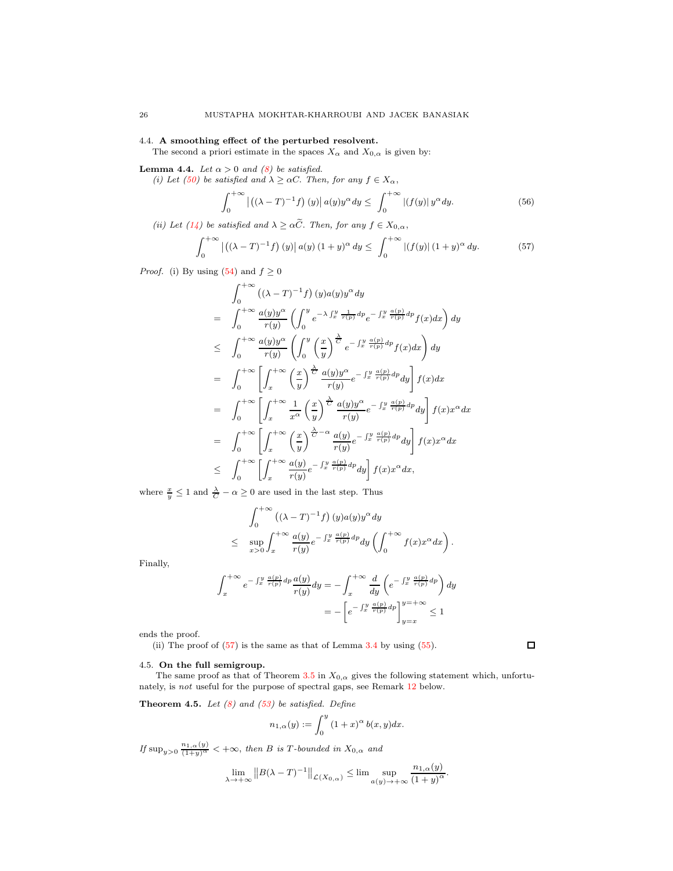## 4.4. A smoothing effect of the perturbed resolvent.

The second a priori estimate in the spaces  $X_{\alpha}$  and  $X_{0,\alpha}$  is given by:

## <span id="page-25-3"></span>**Lemma 4.4.** Let  $\alpha > 0$  and [\(8\)](#page-1-2) be satisfied.

(i) Let [\(50\)](#page-21-3) be satisfied and  $\lambda \geq \alpha C$ . Then, for any  $f \in X_{\alpha}$ ,

$$
\int_0^{+\infty} \left| \left( (\lambda - T)^{-1} f \right)(y) \right| a(y) y^{\alpha} dy \le \int_0^{+\infty} \left| (f(y)) y^{\alpha} dy \right|
$$
 (56)

(ii) Let [\(14\)](#page-4-3) be satisfied and  $\lambda \geq \alpha \widetilde{C}$ . Then, for any  $f \in X_{0,\alpha}$ ,

<span id="page-25-2"></span>
$$
\int_0^{+\infty} |((\lambda - T)^{-1}f)(y)| a(y) (1 + y)^{\alpha} dy \le \int_0^{+\infty} |(f(y)| (1 + y)^{\alpha} dy. \tag{57}
$$

*Proof.* (i) By using [\(54\)](#page-23-1) and  $f \ge 0$ 

$$
\int_{0}^{+\infty} ((\lambda - T)^{-1} f) (y) a(y) y^{\alpha} dy
$$
\n
$$
= \int_{0}^{+\infty} \frac{a(y) y^{\alpha}}{r(y)} \left( \int_{0}^{y} e^{-\lambda \int_{x}^{y} \frac{1}{r(p)} dp} e^{-\int_{x}^{y} \frac{a(p)}{r(p)} dp} f(x) dx \right) dy
$$
\n
$$
\leq \int_{0}^{+\infty} \frac{a(y) y^{\alpha}}{r(y)} \left( \int_{0}^{y} \left( \frac{x}{y} \right)^{\frac{\lambda}{C}} e^{-\int_{x}^{y} \frac{a(p)}{r(p)} dp} f(x) dx \right) dy
$$
\n
$$
= \int_{0}^{+\infty} \left[ \int_{x}^{+\infty} \left( \frac{x}{y} \right)^{\frac{\lambda}{C}} \frac{a(y) y^{\alpha}}{r(y)} e^{-\int_{x}^{y} \frac{a(p)}{r(p)} dp} dy \right] f(x) dx
$$
\n
$$
= \int_{0}^{+\infty} \left[ \int_{x}^{+\infty} \frac{1}{x^{\alpha}} \left( \frac{x}{y} \right)^{\frac{\lambda}{C}} \frac{a(y) y^{\alpha}}{r(y)} e^{-\int_{x}^{y} \frac{a(p)}{r(p)} dp} dy \right] f(x) x^{\alpha} dx
$$
\n
$$
= \int_{0}^{+\infty} \left[ \int_{x}^{+\infty} \left( \frac{x}{y} \right)^{\frac{\lambda}{C}} \frac{a(y)}{r(y)} e^{-\int_{x}^{y} \frac{a(p)}{r(p)} dp} dy \right] f(x) x^{\alpha} dx
$$
\n
$$
\leq \int_{0}^{+\infty} \left[ \int_{x}^{+\infty} \frac{a(y)}{r(y)} e^{-\int_{x}^{y} \frac{a(p)}{r(p)} dp} dy \right] f(x) x^{\alpha} dx,
$$

where  $\frac{x}{y} \leq 1$  and  $\frac{\lambda}{C} - \alpha \geq 0$  are used in the last step. Thus

$$
\int_0^{+\infty} ((\lambda - T)^{-1} f) (y) a(y) y^{\alpha} dy
$$
  
\n
$$
\leq \sup_{x>0} \int_x^{+\infty} \frac{a(y)}{r(y)} e^{-\int_x^y \frac{a(p)}{r(p)} dp} dy \left( \int_0^{+\infty} f(x) x^{\alpha} dx \right).
$$

Finally,

$$
\int_{x}^{+\infty} e^{-\int_{x}^{y} \frac{a(p)}{r(p)} dp} \frac{a(y)}{r(y)} dy = -\int_{x}^{+\infty} \frac{d}{dy} \left( e^{-\int_{x}^{y} \frac{a(p)}{r(p)} dp} \right) dy
$$

$$
= -\left[ e^{-\int_{x}^{y} \frac{a(p)}{r(p)} dp} \right]_{y=x}^{y=+\infty} \le 1
$$

ends the proof.

(ii) The proof of  $(57)$  is the same as that of Lemma [3.4](#page-12-4) by using  $(55)$ .

## <span id="page-25-1"></span>4.5. On the full semigroup.

The same proof as that of Theorem [3.5](#page-13-3) in  $X_{0,\alpha}$  gives the following statement which, unfortunately, is not useful for the purpose of spectral gaps, see Remark [12](#page-26-0) below.

**Theorem 4.5.** Let  $(8)$  and  $(53)$  be satisfied. Define

$$
n_{1,\alpha}(y) := \int_0^y (1+x)^\alpha b(x,y) dx.
$$

If  $\sup_{y>0} \frac{n_{1,\alpha}(y)}{(1+y)^{\alpha}} < +\infty$ , then B is T-bounded in  $X_{0,\alpha}$  and

$$
\lim_{\lambda \to +\infty} \|B(\lambda - T)^{-1}\|_{\mathcal{L}(X_{0,\alpha})} \le \lim \sup_{a(y) \to +\infty} \frac{n_{1,\alpha}(y)}{(1+y)^{\alpha}}.
$$

<span id="page-25-0"></span>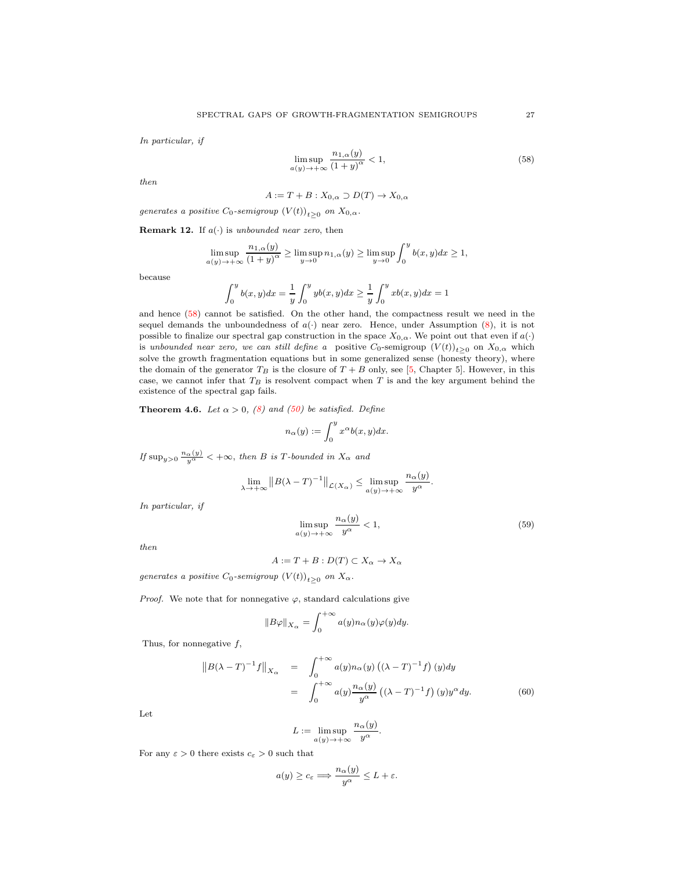In particular, if

<span id="page-26-1"></span>
$$
\limsup_{a(y)\to+\infty} \frac{n_{1,\alpha}(y)}{(1+y)^{\alpha}} < 1,
$$
\n(58)

then

$$
A := T + B : X_{0,\alpha} \supset D(T) \to X_{0,\alpha}
$$

generates a positive  $C_0$ -semigroup  $(V(t))_{t\geq 0}$  on  $X_{0,\alpha}$ .

<span id="page-26-0"></span>**Remark 12.** If  $a(\cdot)$  is unbounded near zero, then

$$
\limsup_{a(y)\to+\infty}\frac{n_{1,\alpha}(y)}{(1+y)^\alpha}\geq \limsup_{y\to 0}n_{1,\alpha}(y)\geq \limsup_{y\to 0}\int_0^y b(x,y)dx\geq 1,
$$

because

$$
\int_0^y b(x,y)dx = \frac{1}{y} \int_0^y yb(x,y)dx \ge \frac{1}{y} \int_0^y xb(x,y)dx = 1
$$

and hence [\(58\)](#page-26-1) cannot be satisfied. On the other hand, the compactness result we need in the sequel demands the unboundedness of  $a(\cdot)$  near zero. Hence, under Assumption [\(8\)](#page-1-2), it is not possible to finalize our spectral gap construction in the space  $X_{0,\alpha}$ . We point out that even if  $a(\cdot)$ is unbounded near zero, we can still define a positive  $C_0$ -semigroup  $(V(t))_{t\geq 0}$  on  $X_{0,\alpha}$  which solve the growth fragmentation equations but in some generalized sense (honesty theory), where the domain of the generator  $T_B$  is the closure of  $T + B$  only, see [\[5,](#page-30-2) Chapter 5]. However, in this case, we cannot infer that  $T_B$  is resolvent compact when  $T$  is and the key argument behind the existence of the spectral gap fails.

<span id="page-26-4"></span>**Theorem 4.6.** Let  $\alpha > 0$ , [\(8\)](#page-1-2) and [\(50\)](#page-21-3) be satisfied. Define

$$
n_{\alpha}(y) := \int_0^y x^{\alpha} b(x, y) dx.
$$

If  $\sup_{y>0} \frac{n_{\alpha}(y)}{y^{\alpha}} < +\infty$ , then B is T-bounded in  $X_{\alpha}$  and

$$
\lim_{\lambda \to +\infty} \|B(\lambda - T)^{-1}\|_{\mathcal{L}(X_{\alpha})} \le \limsup_{a(y) \to +\infty} \frac{n_{\alpha}(y)}{y^{\alpha}}.
$$

In particular, if

<span id="page-26-3"></span>
$$
\limsup_{a(y)\to+\infty}\frac{n_{\alpha}(y)}{y^{\alpha}}<1,
$$
\n(59)

then

$$
A := T + B : D(T) \subset X_{\alpha} \to X_{\alpha}
$$

generates a positive  $C_0$ -semigroup  $(V(t))_{t\geq 0}$  on  $X_\alpha$ .

*Proof.* We note that for nonnegative  $\varphi$ , standard calculations give

$$
||B\varphi||_{X_{\alpha}} = \int_0^{+\infty} a(y) n_{\alpha}(y) \varphi(y) dy.
$$

Thus, for nonnegative  $f$ ,

<span id="page-26-2"></span>
$$
\|B(\lambda - T)^{-1}f\|_{X_{\alpha}} = \int_0^{+\infty} a(y)n_{\alpha}(y) \left( (\lambda - T)^{-1}f \right)(y)dy
$$
  

$$
= \int_0^{+\infty} a(y) \frac{n_{\alpha}(y)}{y^{\alpha}} \left( (\lambda - T)^{-1}f \right)(y)y^{\alpha}dy.
$$
 (60)

Let

$$
L := \limsup_{a(y) \to +\infty} \frac{n_{\alpha}(y)}{y^{\alpha}}.
$$

For any  $\varepsilon > 0$  there exists  $c_{\varepsilon} > 0$  such that

$$
a(y) \geq c_{\varepsilon} \Longrightarrow \frac{n_{\alpha}(y)}{y^{\alpha}} \leq L + \varepsilon.
$$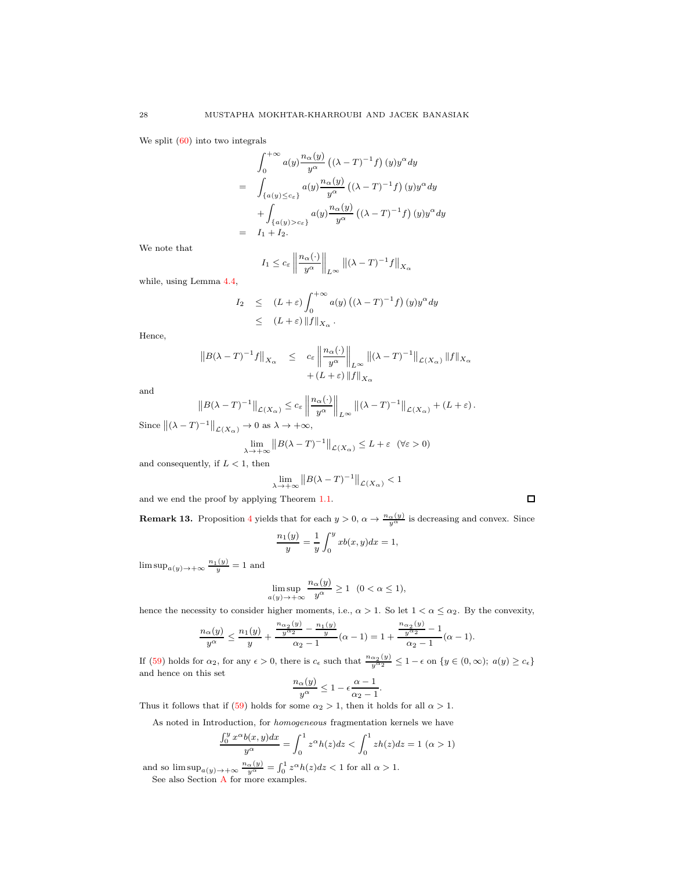We split  $(60)$  into two integrals

$$
\int_0^{+\infty} a(y) \frac{n_{\alpha}(y)}{y^{\alpha}} \left( (\lambda - T)^{-1} f \right) (y) y^{\alpha} dy
$$
  
= 
$$
\int_{\{a(y) \leq c_{\varepsilon}\}} a(y) \frac{n_{\alpha}(y)}{y^{\alpha}} \left( (\lambda - T)^{-1} f \right) (y) y^{\alpha} dy
$$
  
+ 
$$
\int_{\{a(y) > c_{\varepsilon}\}} a(y) \frac{n_{\alpha}(y)}{y^{\alpha}} \left( (\lambda - T)^{-1} f \right) (y) y^{\alpha} dy
$$
  
= 
$$
I_1 + I_2.
$$

We note that

$$
I_1 \le c_{\varepsilon} \left\| \frac{n_{\alpha}(\cdot)}{y^{\alpha}} \right\|_{L^{\infty}} \|(\lambda - T)^{-1} f\|_{X_{\alpha}}
$$

while, using Lemma [4.4,](#page-25-3)

$$
I_2 \leq (L+\varepsilon) \int_0^{+\infty} a(y) \left( (\lambda - T)^{-1} f \right) (y) y^{\alpha} dy
$$
  
 
$$
\leq (L+\varepsilon) \| f \|_{X_{\alpha}}.
$$

Hence,

$$
||B(\lambda - T)^{-1}f||_{X_{\alpha}} \leq c_{\varepsilon} \left\|\frac{n_{\alpha}(\cdot)}{y^{\alpha}}\right\|_{L^{\infty}} ||(\lambda - T)^{-1}||_{\mathcal{L}(X_{\alpha})} ||f||_{X_{\alpha}}
$$
  
+  $(L + \varepsilon) ||f||_{X_{\alpha}}$ 

and

$$
||B(\lambda - T)^{-1}||_{\mathcal{L}(X_{\alpha})} \leq c_{\varepsilon} \left\|\frac{n_{\alpha}(\cdot)}{y^{\alpha}}\right\|_{L^{\infty}} ||(\lambda - T)^{-1}||_{\mathcal{L}(X_{\alpha})} + (L + \varepsilon).
$$

Since  $\|(\lambda - T)^{-1}\|_{\mathcal{L}(X_\alpha)} \to 0$  as  $\lambda \to +\infty$ ,

$$
\lim_{\lambda \to +\infty} ||B(\lambda - T)^{-1}||_{\mathcal{L}(X_{\alpha})} \le L + \varepsilon \quad (\forall \varepsilon > 0)
$$

and consequently, if  $L < 1$ , then

$$
\lim_{\lambda \to +\infty} \left\| B(\lambda - T)^{-1} \right\|_{\mathcal{L}(X_{\alpha})} < 1
$$

 $\Box$ 

and we end the proof by applying Theorem [1.1.](#page-4-4)

**Remark 13.** Proposition [4](#page-14-0) yields that for each  $y > 0$ ,  $\alpha \to \frac{n_{\alpha}(y)}{y^{\alpha}}$  is decreasing and convex. Since

$$
\frac{n_1(y)}{y} = \frac{1}{y} \int_0^y x b(x, y) dx = 1,
$$

 $\limsup_{a(y)\to+\infty}\frac{n_1(y)}{y}=1$  and

$$
\limsup_{a(y)\to+\infty}\frac{n_{\alpha}(y)}{y^{\alpha}}\geq 1 \quad (0<\alpha\leq 1),
$$

hence the necessity to consider higher moments, i.e.,  $\alpha > 1$ . So let  $1 < \alpha \leq \alpha_2$ . By the convexity,

$$
\frac{n_{\alpha}(y)}{y^{\alpha}} \le \frac{n_1(y)}{y} + \frac{\frac{n_{\alpha_2}(y)}{y^{\alpha_2}} - \frac{n_1(y)}{y}}{\alpha_2 - 1} (\alpha - 1) = 1 + \frac{\frac{n_{\alpha_2}(y)}{y^{\alpha_2}} - 1}{\alpha_2 - 1} (\alpha - 1).
$$

If [\(59\)](#page-26-3) holds for  $\alpha_2$ , for any  $\epsilon > 0$ , there is  $c_{\epsilon}$  such that  $\frac{n_{\alpha_2}(y)}{y^{\alpha_2}} \leq 1 - \epsilon$  on  $\{y \in (0, \infty); \ a(y) \geq c_{\epsilon}\}\$ and hence on this set

$$
\frac{n_{\alpha}(y)}{y^{\alpha}} \le 1 - \epsilon \frac{\alpha - 1}{\alpha_2 - 1}.
$$

Thus it follows that if [\(59\)](#page-26-3) holds for some  $\alpha_2 > 1$ , then it holds for all  $\alpha > 1$ .

As noted in Introduction, for homogeneous fragmentation kernels we have

$$
\frac{\int_0^y x^{\alpha} b(x, y) dx}{y^{\alpha}} = \int_0^1 z^{\alpha} h(z) dz < \int_0^1 z h(z) dz = 1 \ (\alpha > 1)
$$

and so  $\limsup_{a(y)\to+\infty} \frac{n_{\alpha}(y)}{y^{\alpha}} = \int_0^1 z^{\alpha} h(z) dz < 1$  for all  $\alpha > 1$ .

See also Section [A](#page-28-3) for more examples.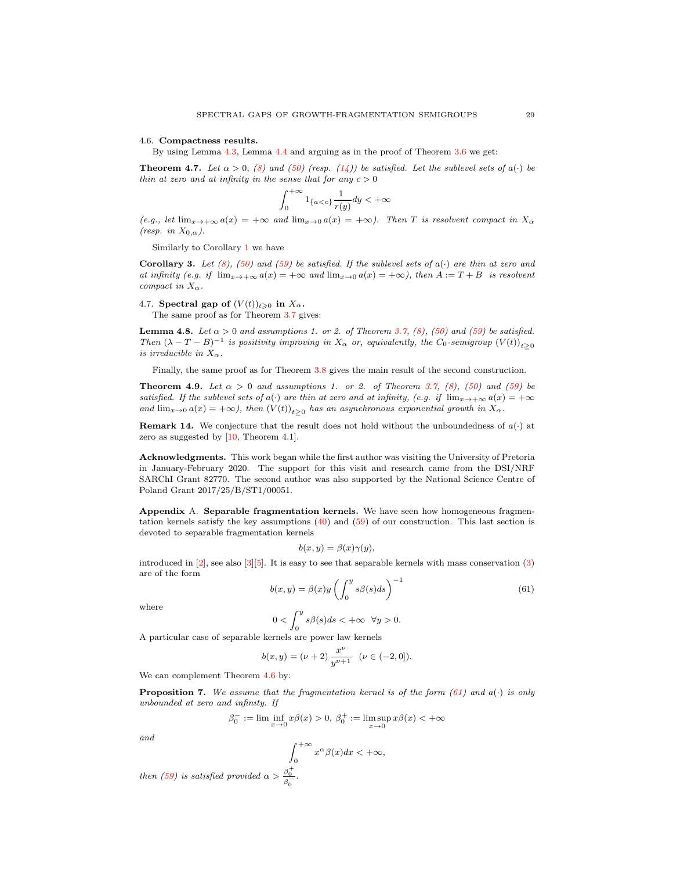#### <span id="page-28-0"></span>4.6. Compactness results.

By using Lemma [4.3,](#page-23-2) Lemma [4.4](#page-25-3) and arguing as in the proof of Theorem [3.6](#page-17-2) we get:

**Theorem 4.7.** Let  $\alpha > 0$ , [\(8\)](#page-1-2) and [\(50\)](#page-21-3) (resp. [\(14\)](#page-4-3)) be satisfied. Let the sublevel sets of  $a(\cdot)$  be thin at zero and at infinity in the sense that for any  $c > 0$ 

$$
\int_0^{+\infty} 1_{\{a
$$

 $(e.g., let \lim_{x\to+\infty} a(x) = +\infty$  and  $\lim_{x\to0} a(x) = +\infty$ ). Then T is resolvent compact in  $X_\alpha$ (resp. in  $X_{0,\alpha}$ ).

Similarly to Corollary [1](#page-18-2) we have

**Corollary 3.** Let [\(8\)](#page-1-2), [\(50\)](#page-21-3) and [\(59\)](#page-26-3) be satisfied. If the sublevel sets of  $a(\cdot)$  are thin at zero and at infinity (e.g. if  $\lim_{x\to+\infty} a(x) = +\infty$  and  $\lim_{x\to 0} a(x) = +\infty$ ), then  $A := T + B$  is resolvent compact in  $X_{\alpha}$ .

<span id="page-28-1"></span>4.7. Spectral gap of  $(V(t))_{t\geq0}$  in  $X_\alpha$ .

The same proof as for Theorem [3.7](#page-18-1) gives:

**Lemma 4.8.** Let  $\alpha > 0$  and assumptions 1. or 2. of Theorem [3.7,](#page-18-1) [\(8\)](#page-1-2), [\(50\)](#page-21-3) and [\(59\)](#page-26-3) be satisfied. Then  $(\lambda - T - B)^{-1}$  is positivity improving in  $X_{\alpha}$  or, equivalently, the  $C_0$ -semigroup  $(V(t))_{t\geq 0}$ is irreducible in  $X_{\alpha}$ .

Finally, the same proof as for Theorem [3.8](#page-19-0) gives the main result of the second construction.

<span id="page-28-4"></span>**Theorem 4.9.** Let  $\alpha > 0$  and assumptions 1. or 2. of Theorem [3.7,](#page-18-1) [\(8\)](#page-1-2), [\(50\)](#page-21-3) and [\(59\)](#page-26-3) be satisfied. If the sublevel sets of a(·) are thin at zero and at infinity, (e.g. if  $\lim_{x\to+\infty} a(x) = +\infty$ and  $\lim_{x\to 0} a(x) = +\infty$ , then  $(V(t))_{t\geq 0}$  has an asynchronous exponential growth in  $X_{\alpha}$ .

**Remark 14.** We conjecture that the result does not hold without the unboundedness of  $a(\cdot)$  at zero as suggested by  $[10,$  Theorem 4.1].

<span id="page-28-2"></span>Acknowledgments. This work began while the first author was visiting the University of Pretoria in January-February 2020. The support for this visit and research came from the DSI/NRF SARChI Grant 82770. The second author was also supported by the National Science Centre of Poland Grant 2017/25/B/ST1/00051.

<span id="page-28-3"></span>Appendix A. Separable fragmentation kernels. We have seen how homogeneous fragmentation kernels satisfy the key assumptions [\(40\)](#page-13-2) and [\(59\)](#page-26-3) of our construction. This last section is devoted to separable fragmentation kernels

$$
b(x, y) = \beta(x)\gamma(y),
$$

introduced in  $[2]$ , see also  $[3][5]$  $[3][5]$ . It is easy to see that separable kernels with mass conservation  $(3)$ are of the form

<span id="page-28-5"></span>
$$
b(x,y) = \beta(x)y \left( \int_0^y s\beta(s)ds \right)^{-1}
$$
\n(61)

where

$$
0<\int_0^y s\beta(s)ds<+\infty~~\forall y>0.
$$

A particular case of separable kernels are power law kernels

$$
b(x,y) = (\nu + 2) \frac{x^{\nu}}{y^{\nu+1}} \quad (\nu \in (-2,0]).
$$

We can complement Theorem [4.6](#page-26-4) by:

**Proposition 7.** We assume that the fragmentation kernel is of the form [\(61\)](#page-28-5) and  $a(\cdot)$  is only unbounded at zero and infinity. If

$$
\beta_0^-:=\lim\inf_{x\to 0}x\beta(x)>0,\ \beta_0^+:=\limsup_{x\to 0}x\beta(x)<+\infty
$$

and

$$
\int_0^{+\infty} x^{\alpha} \beta(x) dx < +\infty,
$$
  
then (59) is satisfied provided  $\alpha > \frac{\beta_0^+}{\beta_0^-}.$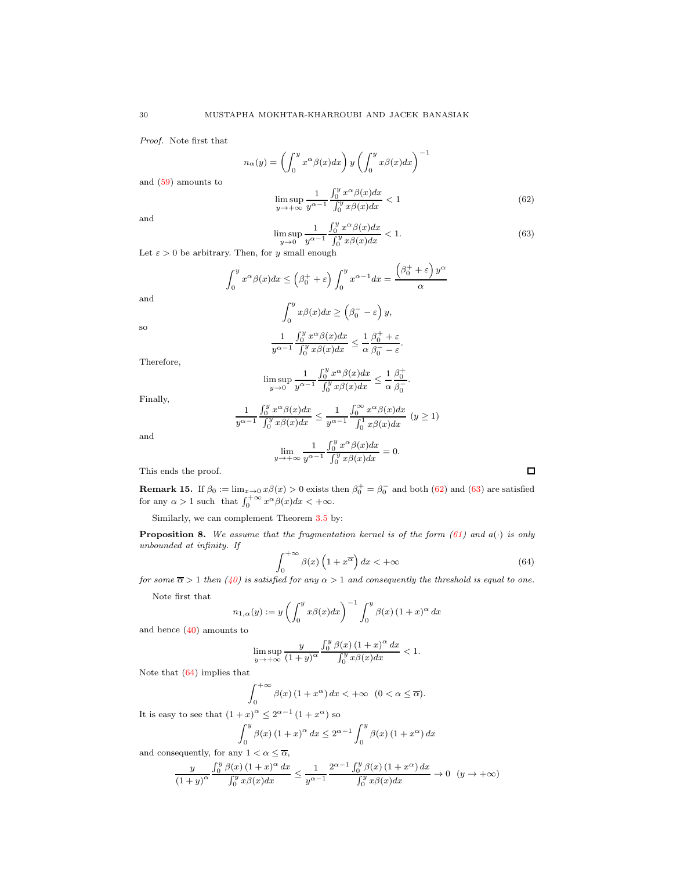Proof. Note first that

and [\(59\)](#page-26-3) amounts to

$$
n_{\alpha}(y) = \left(\int_0^y x^{\alpha} \beta(x) dx\right) y \left(\int_0^y x \beta(x) dx\right)^{-1}
$$
  

$$
\limsup_{y \to +\infty} \frac{1}{y^{\alpha-1}} \frac{\int_0^y x^{\alpha} \beta(x) dx}{\int_0^y x \beta(x) dx} < 1
$$
 (62)

and

and

so

<span id="page-29-1"></span><span id="page-29-0"></span>
$$
\limsup_{y \to 0} \frac{1}{y^{\alpha - 1}} \frac{\int_0^y x^{\alpha} \beta(x) dx}{\int_0^y x \beta(x) dx} < 1. \tag{63}
$$

Let  $\varepsilon > 0$  be arbitrary. Then, for y small enough

$$
\int_0^y x^{\alpha} \beta(x) dx \le \left(\beta_0^+ + \varepsilon\right) \int_0^y x^{\alpha - 1} dx = \frac{\left(\beta_0^+ + \varepsilon\right) y^{\alpha}}{\alpha}
$$

$$
\int_0^y x\beta(x) dx \ge \left(\beta_0^- - \varepsilon\right) y,
$$

$$
\frac{1}{y^{\alpha - 1}} \int_0^y x^{\alpha} \beta(x) dx \le \frac{1}{\alpha} \frac{\beta_0^+ + \varepsilon}{\beta_0^- - \varepsilon}.
$$

Therefore,

$$
\limsup_{y\to 0}\frac{1}{y^{\alpha-1}}\frac{\int_0^yx^\alpha\beta(x)dx}{\int_0^yx\beta(x)dx}\leq \frac{1}{\alpha}\frac{\beta_0^+}{\beta_0^-}.
$$

Finally,

$$
\frac{1}{y^{\alpha-1}} \frac{\int_0^y x^{\alpha} \beta(x) dx}{\int_0^y x \beta(x) dx} \le \frac{1}{y^{\alpha-1}} \frac{\int_0^{\infty} x^{\alpha} \beta(x) dx}{\int_0^1 x \beta(x) dx} \quad (y \ge 1)
$$

and

$$
\lim_{y \to +\infty} \frac{1}{y^{\alpha-1}} \frac{\int_0^y x^{\alpha} \beta(x) dx}{\int_0^y x \beta(x) dx} = 0.
$$

This ends the proof.

**Remark 15.** If  $\beta_0 := \lim_{x \to 0} x \beta(x) > 0$  exists then  $\beta_0^+ = \beta_0^-$  and both [\(62\)](#page-29-0) and [\(63\)](#page-29-1) are satisfied for any  $\alpha > 1$  such that  $\int_0^{+\infty} x^{\alpha} \beta(x) dx < +\infty$ .

Similarly, we can complement Theorem [3.5](#page-13-3) by:

**Proposition 8.** We assume that the fragmentation kernel is of the form [\(61\)](#page-28-5) and  $a(\cdot)$  is only unbounded at infinity. If

<span id="page-29-2"></span>
$$
\int_0^{+\infty} \beta(x) \left(1 + x^{\overline{\alpha}}\right) dx < +\infty \tag{64}
$$

 $\Box$ 

 $\frac{J_0}{J_0}$  for some  $\overline{\alpha} > 1$  then [\(40\)](#page-13-2) is satisfied for any  $\alpha > 1$  and consequently the threshold is equal to one.

Note first that

$$
n_{1,\alpha}(y):=y\left(\int_0^y x\beta(x)dx\right)^{-1}\int_0^y \beta(x)\left(1+x\right)^\alpha dx
$$
 and hence (40) amounts to

$$
\limsup_{y \to +\infty} \frac{y}{(1+y)^{\alpha}} \frac{\int_0^y \beta(x) (1+x)^{\alpha} dx}{\int_0^y x \beta(x) dx} < 1.
$$

Note that [\(64\)](#page-29-2) implies that

$$
\int_0^{+\infty} \beta(x) (1+x^{\alpha}) dx < +\infty \quad (0 < \alpha \le \overline{\alpha}).
$$

It is easy to see that  $(1+x)^{\alpha} \leq 2^{\alpha-1} (1+x^{\alpha})$  so

$$
\int_0^y \beta(x) \left(1+x\right)^\alpha dx \le 2^{\alpha-1} \int_0^y \beta(x) \left(1+x^\alpha\right) dx
$$

and consequently, for any  $1 < \alpha \leq \overline{\alpha}$ ,

$$
\frac{y}{(1+y)^{\alpha}} \frac{\int_0^y \beta(x) (1+x)^{\alpha} dx}{\int_0^y x \beta(x) dx} \le \frac{1}{y^{\alpha-1}} \frac{2^{\alpha-1} \int_0^y \beta(x) (1+x^{\alpha}) dx}{\int_0^y x \beta(x) dx} \to 0 \quad (y \to +\infty)
$$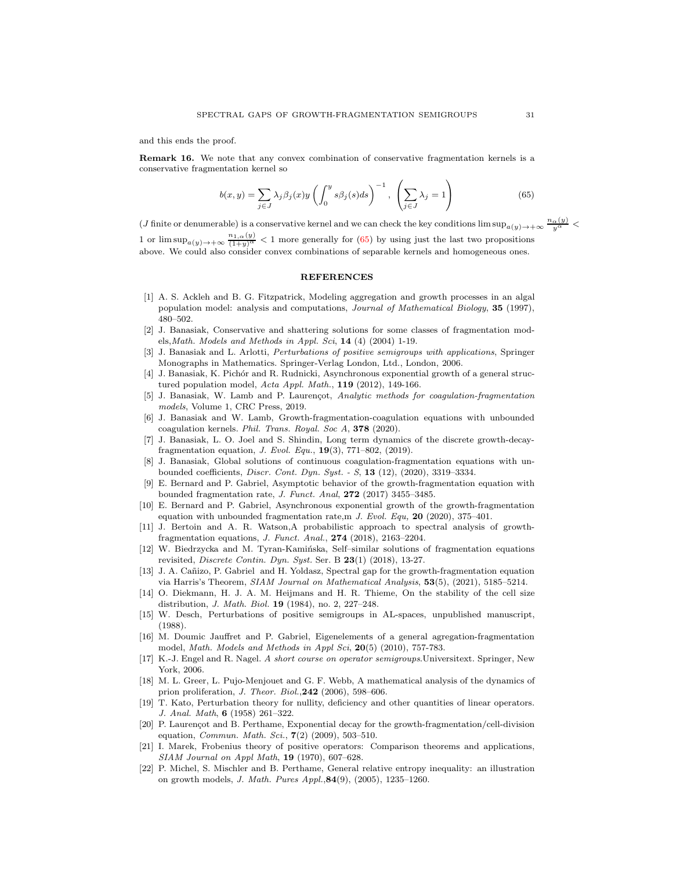and this ends the proof.

Remark 16. We note that any convex combination of conservative fragmentation kernels is a conservative fragmentation kernel so

<span id="page-30-21"></span>
$$
b(x,y) = \sum_{j \in J} \lambda_j \beta_j(x) y \left( \int_0^y s \beta_j(s) ds \right)^{-1}, \left( \sum_{j \in J} \lambda_j = 1 \right)
$$
 (65)

 $(J \text{ finite or denumerable})$  is a conservative kernel and we can check the key conditions  $\limsup_{a(y)\to+\infty}\frac{n_{\alpha}(y)}{y^{\alpha}}$ 1 or  $\limsup_{a(y)\to+\infty}\frac{n_{1,\alpha}(y)}{(1+y)^{\alpha}} < 1$  more generally for [\(65\)](#page-30-21) by using just the last two propositions above. We could also consider convex combinations of separable kernels and homogeneous ones.

## <span id="page-30-0"></span>**REFERENCES**

- <span id="page-30-4"></span>[1] A. S. Ackleh and B. G. Fitzpatrick, Modeling aggregation and growth processes in an algal population model: analysis and computations, Journal of Mathematical Biology, 35 (1997), 480–502.
- [2] J. Banasiak, Conservative and shattering solutions for some classes of fragmentation models, Math. Models and Methods in Appl. Sci,  $14$  (4) (2004) 1-19.
- <span id="page-30-17"></span>[3] J. Banasiak and L. Arlotti, Perturbations of positive semigroups with applications, Springer Monographs in Mathematics. Springer-Verlag London, Ltd., London, 2006.
- <span id="page-30-9"></span>[4] J. Banasiak, K. Pichór and R. Rudnicki, Asynchronous exponential growth of a general structured population model, Acta Appl. Math., 119 (2012), 149-166.
- <span id="page-30-2"></span>[5] J. Banasiak, W. Lamb and P. Laurençot, Analytic methods for coagulation-fragmentation models, Volume 1, CRC Press, 2019.
- <span id="page-30-1"></span>[6] J. Banasiak and W. Lamb, Growth-fragmentation-coagulation equations with unbounded coagulation kernels. Phil. Trans. Royal. Soc A, 378 (2020).
- <span id="page-30-14"></span>[7] J. Banasiak, L. O. Joel and S. Shindin, Long term dynamics of the discrete growth-decayfragmentation equation, J. Evol. Equ., 19(3), 771–802, (2019).
- <span id="page-30-19"></span>[8] J. Banasiak, Global solutions of continuous coagulation-fragmentation equations with unbounded coefficients, *Discr. Cont. Dyn. Syst.* - S, 13 (12), (2020), 3319-3334.
- <span id="page-30-13"></span>[9] E. Bernard and P. Gabriel, Asymptotic behavior of the growth-fragmentation equation with bounded fragmentation rate, J. Funct. Anal, 272 (2017) 3455–3485.
- <span id="page-30-6"></span>[10] E. Bernard and P. Gabriel, Asynchronous exponential growth of the growth-fragmentation equation with unbounded fragmentation rate,m J. Evol. Equ. 20 (2020), 375–401.
- <span id="page-30-3"></span>[11] J. Bertoin and A. R. Watson,A probabilistic approach to spectral analysis of growthfragmentation equations, J. Funct. Anal., 274 (2018), 2163–2204.
- <span id="page-30-12"></span>[12] W. Biedrzycka and M. Tyran-Kaminska, Self–similar solutions of fragmentation equations revisited, Discrete Contin. Dyn. Syst. Ser. B 23(1) (2018), 13-27.
- [13] J. A. Cañizo, P. Gabriel and H. Yoldasz, Spectral gap for the growth-fragmentation equation via Harris's Theorem, SIAM Journal on Mathematical Analysis, 53(5), (2021), 5185–5214.
- <span id="page-30-8"></span>[14] O. Diekmann, H. J. A. M. Heijmans and H. R. Thieme, On the stability of the cell size distribution, J. Math. Biol. 19 (1984), no. 2, 227–248.
- <span id="page-30-16"></span>[15] W. Desch, Perturbations of positive semigroups in AL-spaces, unpublished manuscript, (1988).
- <span id="page-30-15"></span>[16] M. Doumic Jauffret and P. Gabriel, Eigenelements of a general agregation-fragmentation model, Math. Models and Methods in Appl Sci, 20(5) (2010), 757-783.
- <span id="page-30-7"></span>[17] K.-J. Engel and R. Nagel. A short course on operator semigroups.Universitext. Springer, New York, 2006.
- <span id="page-30-5"></span>[18] M. L. Greer, L. Pujo-Menjouet and G. F. Webb, A mathematical analysis of the dynamics of prion proliferation, J. Theor. Biol.,242 (2006), 598–606.
- <span id="page-30-20"></span>[19] T. Kato, Perturbation theory for nullity, deficiency and other quantities of linear operators. J. Anal. Math, 6 (1958) 261–322.
- <span id="page-30-11"></span>[20] P. Laurençot and B. Perthame, Exponential decay for the growth-fragmentation/cell-division equation, *Commun. Math. Sci.*,  $7(2)$   $(2009)$ , 503-510.
- <span id="page-30-18"></span>[21] I. Marek, Frobenius theory of positive operators: Comparison theorems and applications, SIAM Journal on Appl Math, 19 (1970), 607–628.
- <span id="page-30-10"></span>[22] P. Michel, S. Mischler and B. Perthame, General relative entropy inequality: an illustration on growth models, J. Math. Pures Appl.,84(9), (2005), 1235–1260.